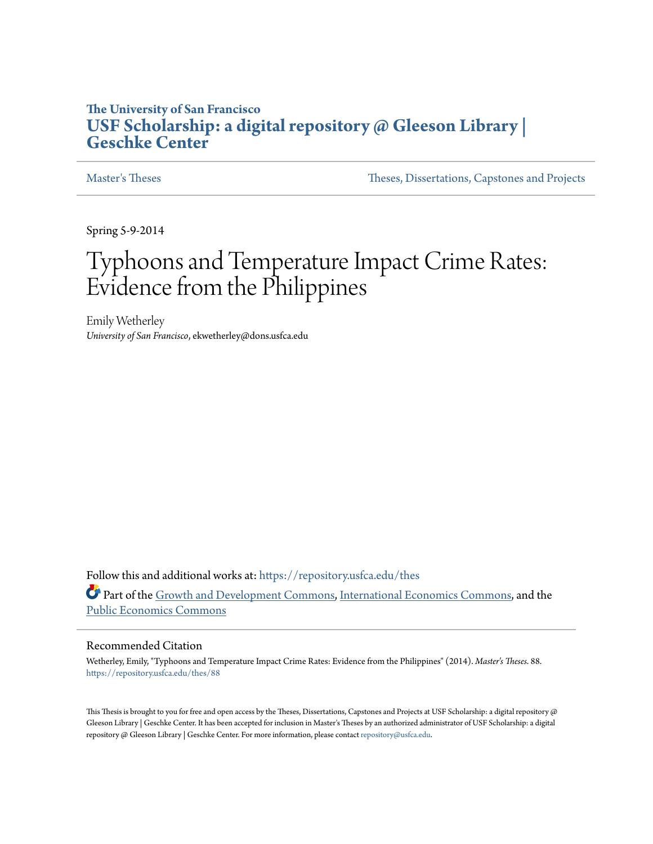# **The University of San Francisco [USF Scholarship: a digital repository @ Gleeson Library |](https://repository.usfca.edu?utm_source=repository.usfca.edu%2Fthes%2F88&utm_medium=PDF&utm_campaign=PDFCoverPages) [Geschke Center](https://repository.usfca.edu?utm_source=repository.usfca.edu%2Fthes%2F88&utm_medium=PDF&utm_campaign=PDFCoverPages)**

[Master's Theses](https://repository.usfca.edu/thes?utm_source=repository.usfca.edu%2Fthes%2F88&utm_medium=PDF&utm_campaign=PDFCoverPages) [Theses, Dissertations, Capstones and Projects](https://repository.usfca.edu/etd?utm_source=repository.usfca.edu%2Fthes%2F88&utm_medium=PDF&utm_campaign=PDFCoverPages)

Spring 5-9-2014

# Typhoons and Temperature Impact Crime Rates: Evidence from the Philippines

Emily Wetherley *University of San Francisco*, ekwetherley@dons.usfca.edu

Follow this and additional works at: [https://repository.usfca.edu/thes](https://repository.usfca.edu/thes?utm_source=repository.usfca.edu%2Fthes%2F88&utm_medium=PDF&utm_campaign=PDFCoverPages) Part of the [Growth and Development Commons,](http://network.bepress.com/hgg/discipline/346?utm_source=repository.usfca.edu%2Fthes%2F88&utm_medium=PDF&utm_campaign=PDFCoverPages) [International Economics Commons,](http://network.bepress.com/hgg/discipline/348?utm_source=repository.usfca.edu%2Fthes%2F88&utm_medium=PDF&utm_campaign=PDFCoverPages) and the [Public Economics Commons](http://network.bepress.com/hgg/discipline/351?utm_source=repository.usfca.edu%2Fthes%2F88&utm_medium=PDF&utm_campaign=PDFCoverPages)

#### Recommended Citation

Wetherley, Emily, "Typhoons and Temperature Impact Crime Rates: Evidence from the Philippines" (2014). *Master's Theses*. 88. [https://repository.usfca.edu/thes/88](https://repository.usfca.edu/thes/88?utm_source=repository.usfca.edu%2Fthes%2F88&utm_medium=PDF&utm_campaign=PDFCoverPages)

This Thesis is brought to you for free and open access by the Theses, Dissertations, Capstones and Projects at USF Scholarship: a digital repository @ Gleeson Library | Geschke Center. It has been accepted for inclusion in Master's Theses by an authorized administrator of USF Scholarship: a digital repository @ Gleeson Library | Geschke Center. For more information, please contact [repository@usfca.edu.](mailto:repository@usfca.edu)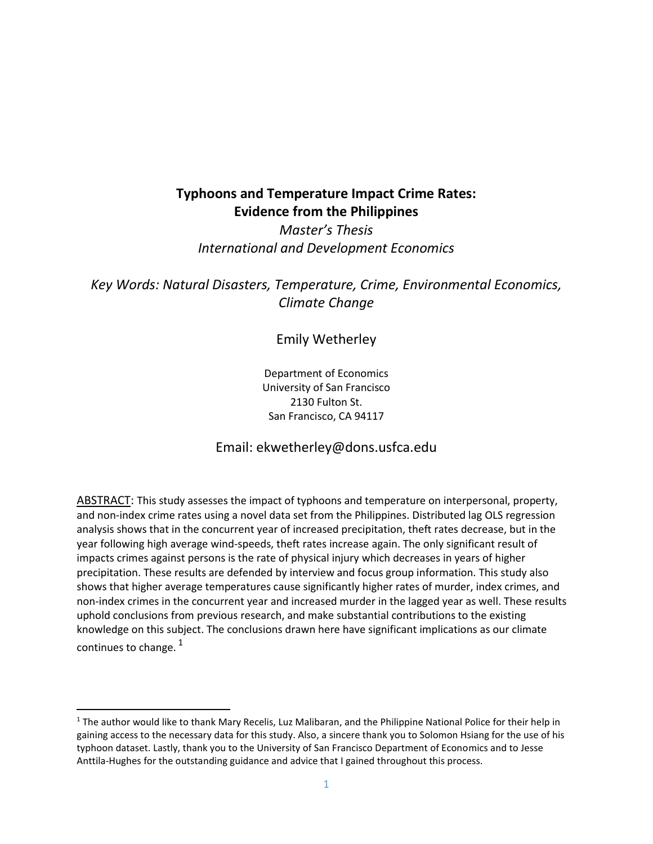# **Typhoons and Temperature Impact Crime Rates: Evidence from the Philippines**

*Master's Thesis International and Development Economics*

*Key Words: Natural Disasters, Temperature, Crime, Environmental Economics, Climate Change*

### Emily Wetherley

Department of Economics University of San Francisco 2130 Fulton St. San Francisco, CA 94117

### Email: ekwetherley@dons.usfca.edu

ABSTRACT: This study assesses the impact of typhoons and temperature on interpersonal, property, and non-index crime rates using a novel data set from the Philippines. Distributed lag OLS regression analysis shows that in the concurrent year of increased precipitation, theft rates decrease, but in the year following high average wind-speeds, theft rates increase again. The only significant result of impacts crimes against persons is the rate of physical injury which decreases in years of higher precipitation. These results are defended by interview and focus group information. This study also shows that higher average temperatures cause significantly higher rates of murder, index crimes, and non-index crimes in the concurrent year and increased murder in the lagged year as well. These results uphold conclusions from previous research, and make substantial contributions to the existing knowledge on this subject. The conclusions drawn here have significant implications as our climate continues to change.<sup>1</sup>

 $\overline{a}$ 

<sup>&</sup>lt;sup>1</sup> The author would like to thank Mary Recelis, Luz Malibaran, and the Philippine National Police for their help in gaining access to the necessary data for this study. Also, a sincere thank you to Solomon Hsiang for the use of his typhoon dataset. Lastly, thank you to the University of San Francisco Department of Economics and to Jesse Anttila-Hughes for the outstanding guidance and advice that I gained throughout this process.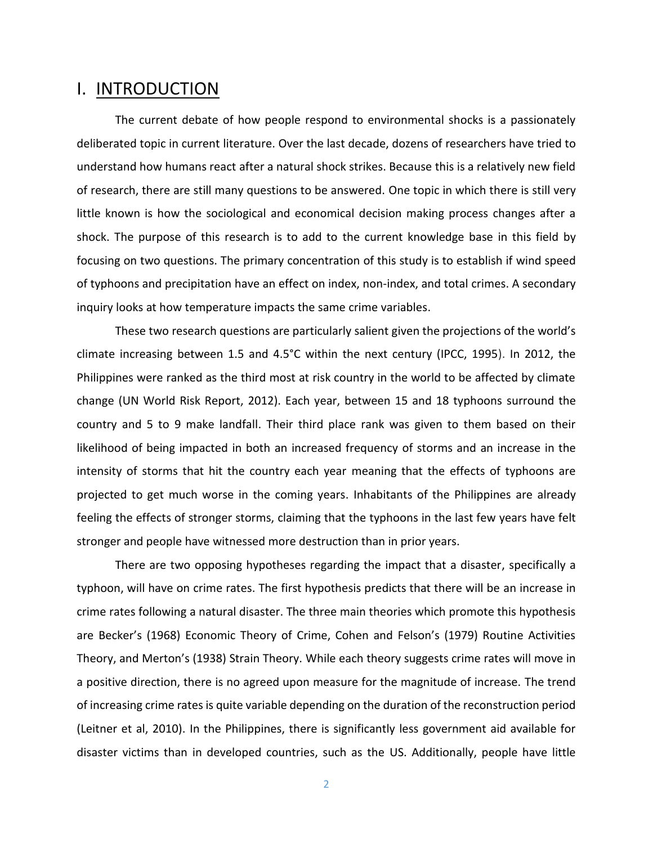# I. INTRODUCTION

The current debate of how people respond to environmental shocks is a passionately deliberated topic in current literature. Over the last decade, dozens of researchers have tried to understand how humans react after a natural shock strikes. Because this is a relatively new field of research, there are still many questions to be answered. One topic in which there is still very little known is how the sociological and economical decision making process changes after a shock. The purpose of this research is to add to the current knowledge base in this field by focusing on two questions. The primary concentration of this study is to establish if wind speed of typhoons and precipitation have an effect on index, non-index, and total crimes. A secondary inquiry looks at how temperature impacts the same crime variables.

These two research questions are particularly salient given the projections of the world's climate increasing between 1.5 and 4.5°C within the next century (IPCC, 1995). In 2012, the Philippines were ranked as the third most at risk country in the world to be affected by climate change (UN World Risk Report, 2012). Each year, between 15 and 18 typhoons surround the country and 5 to 9 make landfall. Their third place rank was given to them based on their likelihood of being impacted in both an increased frequency of storms and an increase in the intensity of storms that hit the country each year meaning that the effects of typhoons are projected to get much worse in the coming years. Inhabitants of the Philippines are already feeling the effects of stronger storms, claiming that the typhoons in the last few years have felt stronger and people have witnessed more destruction than in prior years.

There are two opposing hypotheses regarding the impact that a disaster, specifically a typhoon, will have on crime rates. The first hypothesis predicts that there will be an increase in crime rates following a natural disaster. The three main theories which promote this hypothesis are Becker's (1968) Economic Theory of Crime, Cohen and Felson's (1979) Routine Activities Theory, and Merton's (1938) Strain Theory. While each theory suggests crime rates will move in a positive direction, there is no agreed upon measure for the magnitude of increase. The trend of increasing crime rates is quite variable depending on the duration of the reconstruction period (Leitner et al, 2010). In the Philippines, there is significantly less government aid available for disaster victims than in developed countries, such as the US. Additionally, people have little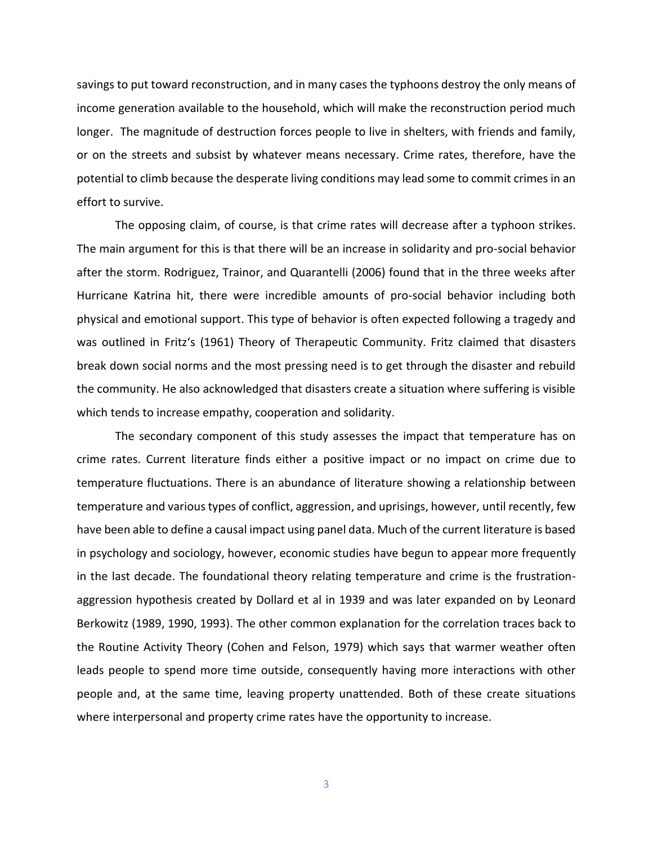savings to put toward reconstruction, and in many cases the typhoons destroy the only means of income generation available to the household, which will make the reconstruction period much longer. The magnitude of destruction forces people to live in shelters, with friends and family, or on the streets and subsist by whatever means necessary. Crime rates, therefore, have the potential to climb because the desperate living conditions may lead some to commit crimes in an effort to survive.

The opposing claim, of course, is that crime rates will decrease after a typhoon strikes. The main argument for this is that there will be an increase in solidarity and pro-social behavior after the storm. Rodriguez, Trainor, and Quarantelli (2006) found that in the three weeks after Hurricane Katrina hit, there were incredible amounts of pro-social behavior including both physical and emotional support. This type of behavior is often expected following a tragedy and was outlined in Fritz's (1961) Theory of Therapeutic Community. Fritz claimed that disasters break down social norms and the most pressing need is to get through the disaster and rebuild the community. He also acknowledged that disasters create a situation where suffering is visible which tends to increase empathy, cooperation and solidarity.

The secondary component of this study assesses the impact that temperature has on crime rates. Current literature finds either a positive impact or no impact on crime due to temperature fluctuations. There is an abundance of literature showing a relationship between temperature and various types of conflict, aggression, and uprisings, however, until recently, few have been able to define a causal impact using panel data. Much of the current literature is based in psychology and sociology, however, economic studies have begun to appear more frequently in the last decade. The foundational theory relating temperature and crime is the frustrationaggression hypothesis created by Dollard et al in 1939 and was later expanded on by Leonard Berkowitz (1989, 1990, 1993). The other common explanation for the correlation traces back to the Routine Activity Theory (Cohen and Felson, 1979) which says that warmer weather often leads people to spend more time outside, consequently having more interactions with other people and, at the same time, leaving property unattended. Both of these create situations where interpersonal and property crime rates have the opportunity to increase.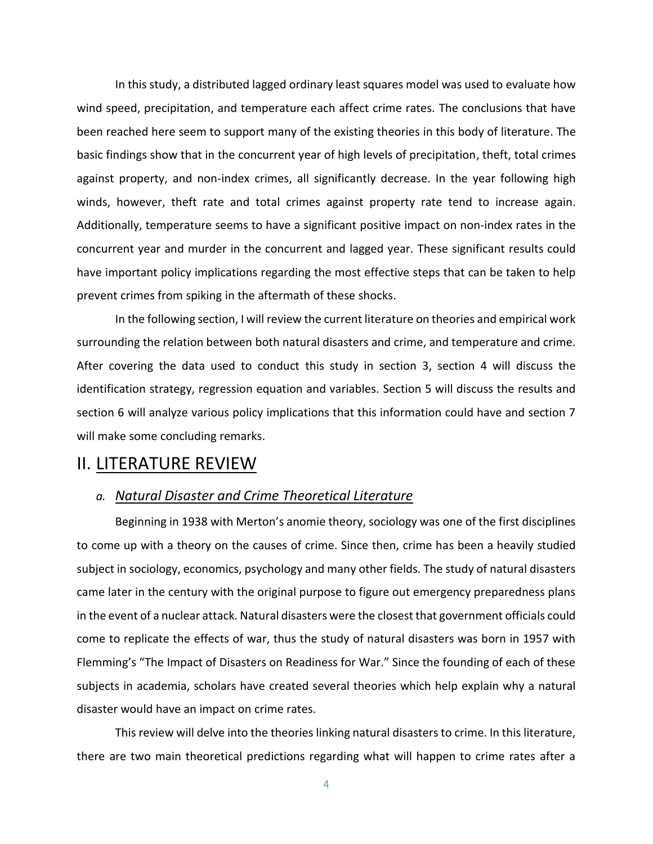In this study, a distributed lagged ordinary least squares model was used to evaluate how wind speed, precipitation, and temperature each affect crime rates. The conclusions that have been reached here seem to support many of the existing theories in this body of literature. The basic findings show that in the concurrent year of high levels of precipitation, theft, total crimes against property, and non-index crimes, all significantly decrease. In the year following high winds, however, theft rate and total crimes against property rate tend to increase again. Additionally, temperature seems to have a significant positive impact on non-index rates in the concurrent year and murder in the concurrent and lagged year. These significant results could have important policy implications regarding the most effective steps that can be taken to help prevent crimes from spiking in the aftermath of these shocks.

In the following section, I will review the current literature on theories and empirical work surrounding the relation between both natural disasters and crime, and temperature and crime. After covering the data used to conduct this study in section 3, section 4 will discuss the identification strategy, regression equation and variables. Section 5 will discuss the results and section 6 will analyze various policy implications that this information could have and section 7 will make some concluding remarks.

# II. LITERATURE REVIEW

#### *a. Natural Disaster and Crime Theoretical Literature*

Beginning in 1938 with Merton's anomie theory, sociology was one of the first disciplines to come up with a theory on the causes of crime. Since then, crime has been a heavily studied subject in sociology, economics, psychology and many other fields. The study of natural disasters came later in the century with the original purpose to figure out emergency preparedness plans in the event of a nuclear attack. Natural disasters were the closest that government officials could come to replicate the effects of war, thus the study of natural disasters was born in 1957 with Flemming's "The Impact of Disasters on Readiness for War." Since the founding of each of these subjects in academia, scholars have created several theories which help explain why a natural disaster would have an impact on crime rates.

This review will delve into the theories linking natural disasters to crime. In this literature, there are two main theoretical predictions regarding what will happen to crime rates after a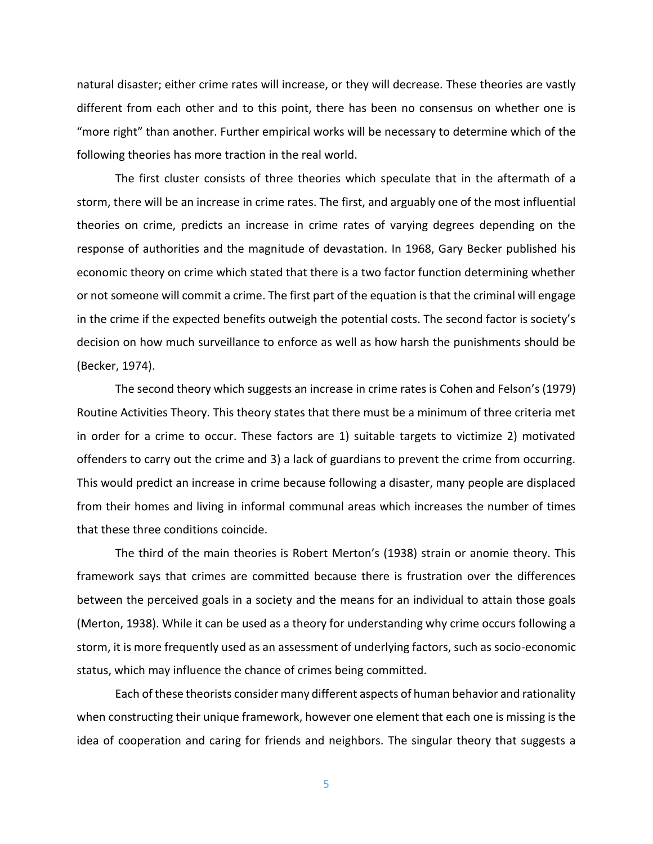natural disaster; either crime rates will increase, or they will decrease. These theories are vastly different from each other and to this point, there has been no consensus on whether one is "more right" than another. Further empirical works will be necessary to determine which of the following theories has more traction in the real world.

The first cluster consists of three theories which speculate that in the aftermath of a storm, there will be an increase in crime rates. The first, and arguably one of the most influential theories on crime, predicts an increase in crime rates of varying degrees depending on the response of authorities and the magnitude of devastation. In 1968, Gary Becker published his economic theory on crime which stated that there is a two factor function determining whether or not someone will commit a crime. The first part of the equation is that the criminal will engage in the crime if the expected benefits outweigh the potential costs. The second factor is society's decision on how much surveillance to enforce as well as how harsh the punishments should be (Becker, 1974).

The second theory which suggests an increase in crime rates is Cohen and Felson's (1979) Routine Activities Theory. This theory states that there must be a minimum of three criteria met in order for a crime to occur. These factors are 1) suitable targets to victimize 2) motivated offenders to carry out the crime and 3) a lack of guardians to prevent the crime from occurring. This would predict an increase in crime because following a disaster, many people are displaced from their homes and living in informal communal areas which increases the number of times that these three conditions coincide.

The third of the main theories is Robert Merton's (1938) strain or anomie theory. This framework says that crimes are committed because there is frustration over the differences between the perceived goals in a society and the means for an individual to attain those goals (Merton, 1938). While it can be used as a theory for understanding why crime occurs following a storm, it is more frequently used as an assessment of underlying factors, such as socio-economic status, which may influence the chance of crimes being committed.

Each of these theorists consider many different aspects of human behavior and rationality when constructing their unique framework, however one element that each one is missing is the idea of cooperation and caring for friends and neighbors. The singular theory that suggests a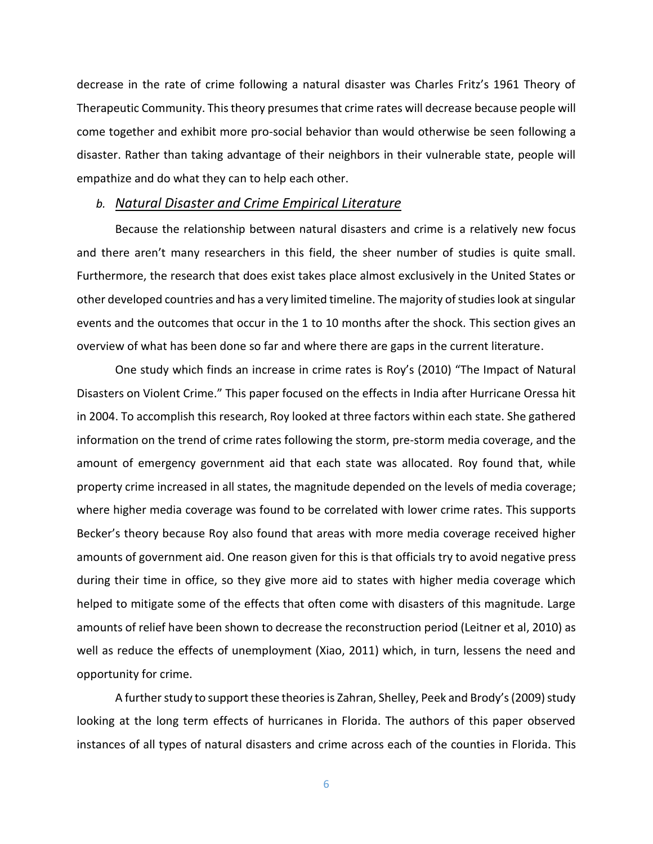decrease in the rate of crime following a natural disaster was Charles Fritz's 1961 Theory of Therapeutic Community. This theory presumes that crime rates will decrease because people will come together and exhibit more pro-social behavior than would otherwise be seen following a disaster. Rather than taking advantage of their neighbors in their vulnerable state, people will empathize and do what they can to help each other.

#### *b. Natural Disaster and Crime Empirical Literature*

Because the relationship between natural disasters and crime is a relatively new focus and there aren't many researchers in this field, the sheer number of studies is quite small. Furthermore, the research that does exist takes place almost exclusively in the United States or other developed countries and has a very limited timeline. The majority of studies look at singular events and the outcomes that occur in the 1 to 10 months after the shock. This section gives an overview of what has been done so far and where there are gaps in the current literature.

One study which finds an increase in crime rates is Roy's (2010) "The Impact of Natural Disasters on Violent Crime." This paper focused on the effects in India after Hurricane Oressa hit in 2004. To accomplish this research, Roy looked at three factors within each state. She gathered information on the trend of crime rates following the storm, pre-storm media coverage, and the amount of emergency government aid that each state was allocated. Roy found that, while property crime increased in all states, the magnitude depended on the levels of media coverage; where higher media coverage was found to be correlated with lower crime rates. This supports Becker's theory because Roy also found that areas with more media coverage received higher amounts of government aid. One reason given for this is that officials try to avoid negative press during their time in office, so they give more aid to states with higher media coverage which helped to mitigate some of the effects that often come with disasters of this magnitude. Large amounts of relief have been shown to decrease the reconstruction period (Leitner et al, 2010) as well as reduce the effects of unemployment (Xiao, 2011) which, in turn, lessens the need and opportunity for crime.

A further study to support these theories is Zahran, Shelley, Peek and Brody's (2009) study looking at the long term effects of hurricanes in Florida. The authors of this paper observed instances of all types of natural disasters and crime across each of the counties in Florida. This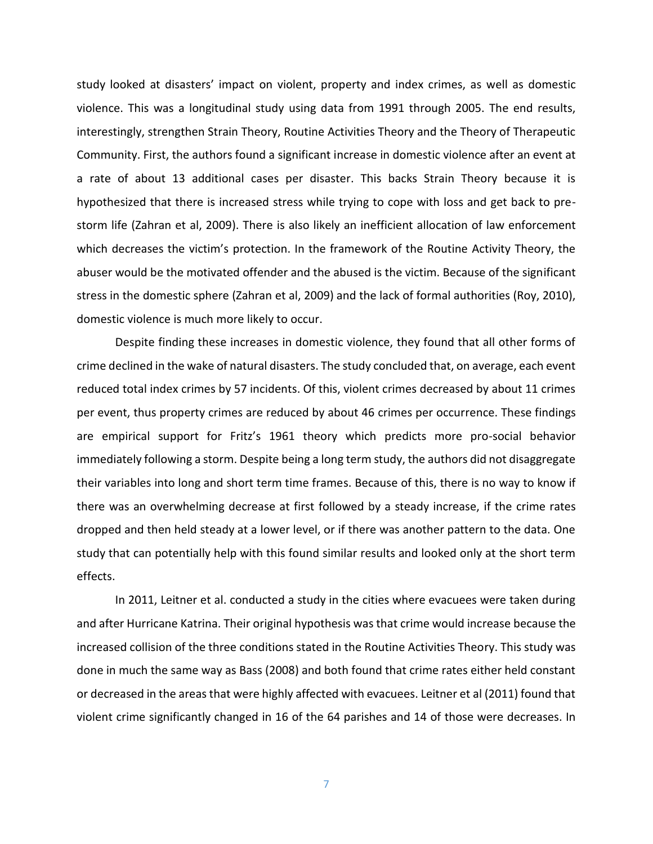study looked at disasters' impact on violent, property and index crimes, as well as domestic violence. This was a longitudinal study using data from 1991 through 2005. The end results, interestingly, strengthen Strain Theory, Routine Activities Theory and the Theory of Therapeutic Community. First, the authors found a significant increase in domestic violence after an event at a rate of about 13 additional cases per disaster. This backs Strain Theory because it is hypothesized that there is increased stress while trying to cope with loss and get back to prestorm life (Zahran et al, 2009). There is also likely an inefficient allocation of law enforcement which decreases the victim's protection. In the framework of the Routine Activity Theory, the abuser would be the motivated offender and the abused is the victim. Because of the significant stress in the domestic sphere (Zahran et al, 2009) and the lack of formal authorities (Roy, 2010), domestic violence is much more likely to occur.

Despite finding these increases in domestic violence, they found that all other forms of crime declined in the wake of natural disasters. The study concluded that, on average, each event reduced total index crimes by 57 incidents. Of this, violent crimes decreased by about 11 crimes per event, thus property crimes are reduced by about 46 crimes per occurrence. These findings are empirical support for Fritz's 1961 theory which predicts more pro-social behavior immediately following a storm. Despite being a long term study, the authors did not disaggregate their variables into long and short term time frames. Because of this, there is no way to know if there was an overwhelming decrease at first followed by a steady increase, if the crime rates dropped and then held steady at a lower level, or if there was another pattern to the data. One study that can potentially help with this found similar results and looked only at the short term effects.

In 2011, Leitner et al. conducted a study in the cities where evacuees were taken during and after Hurricane Katrina. Their original hypothesis was that crime would increase because the increased collision of the three conditions stated in the Routine Activities Theory. This study was done in much the same way as Bass (2008) and both found that crime rates either held constant or decreased in the areas that were highly affected with evacuees. Leitner et al (2011) found that violent crime significantly changed in 16 of the 64 parishes and 14 of those were decreases. In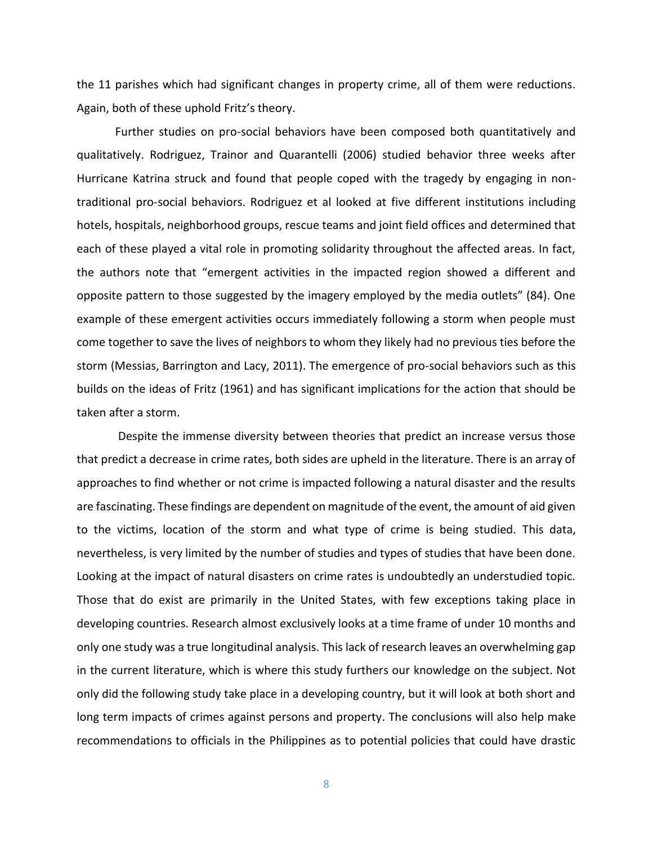the 11 parishes which had significant changes in property crime, all of them were reductions. Again, both of these uphold Fritz's theory.

Further studies on pro-social behaviors have been composed both quantitatively and qualitatively. Rodriguez, Trainor and Quarantelli (2006) studied behavior three weeks after Hurricane Katrina struck and found that people coped with the tragedy by engaging in nontraditional pro-social behaviors. Rodriguez et al looked at five different institutions including hotels, hospitals, neighborhood groups, rescue teams and joint field offices and determined that each of these played a vital role in promoting solidarity throughout the affected areas. In fact, the authors note that "emergent activities in the impacted region showed a different and opposite pattern to those suggested by the imagery employed by the media outlets" (84). One example of these emergent activities occurs immediately following a storm when people must come together to save the lives of neighbors to whom they likely had no previous ties before the storm (Messias, Barrington and Lacy, 2011). The emergence of pro-social behaviors such as this builds on the ideas of Fritz (1961) and has significant implications for the action that should be taken after a storm.

Despite the immense diversity between theories that predict an increase versus those that predict a decrease in crime rates, both sides are upheld in the literature. There is an array of approaches to find whether or not crime is impacted following a natural disaster and the results are fascinating. These findings are dependent on magnitude of the event, the amount of aid given to the victims, location of the storm and what type of crime is being studied. This data, nevertheless, is very limited by the number of studies and types of studies that have been done. Looking at the impact of natural disasters on crime rates is undoubtedly an understudied topic. Those that do exist are primarily in the United States, with few exceptions taking place in developing countries. Research almost exclusively looks at a time frame of under 10 months and only one study was a true longitudinal analysis. This lack of research leaves an overwhelming gap in the current literature, which is where this study furthers our knowledge on the subject. Not only did the following study take place in a developing country, but it will look at both short and long term impacts of crimes against persons and property. The conclusions will also help make recommendations to officials in the Philippines as to potential policies that could have drastic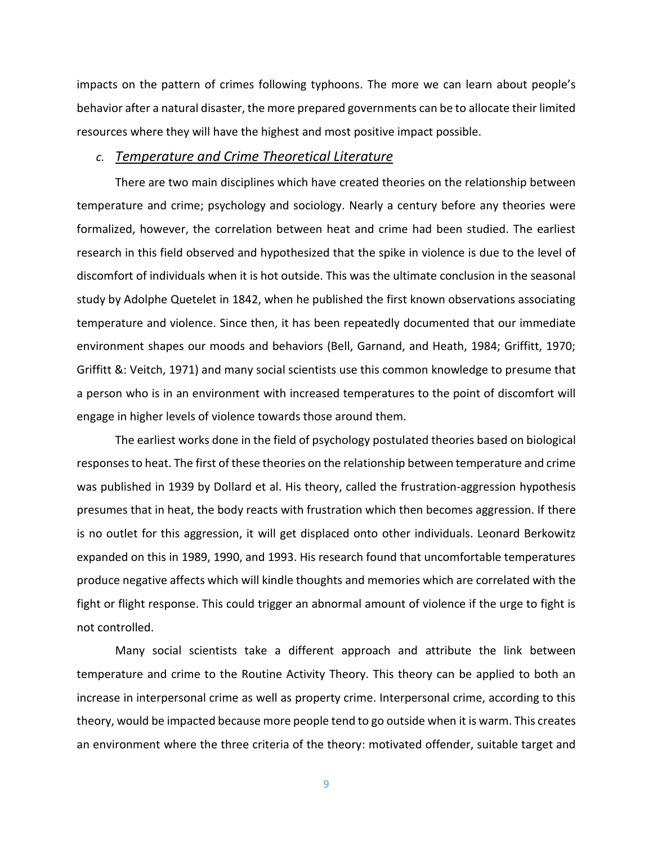impacts on the pattern of crimes following typhoons. The more we can learn about people's behavior after a natural disaster, the more prepared governments can be to allocate their limited resources where they will have the highest and most positive impact possible.

#### *c. Temperature and Crime Theoretical Literature*

There are two main disciplines which have created theories on the relationship between temperature and crime; psychology and sociology. Nearly a century before any theories were formalized, however, the correlation between heat and crime had been studied. The earliest research in this field observed and hypothesized that the spike in violence is due to the level of discomfort of individuals when it is hot outside. This was the ultimate conclusion in the seasonal study by Adolphe Quetelet in 1842, when he published the first known observations associating temperature and violence. Since then, it has been repeatedly documented that our immediate environment shapes our moods and behaviors (Bell, Garnand, and Heath, 1984; Griffitt, 1970; Griffitt &: Veitch, 1971) and many social scientists use this common knowledge to presume that a person who is in an environment with increased temperatures to the point of discomfort will engage in higher levels of violence towards those around them.

The earliest works done in the field of psychology postulated theories based on biological responses to heat. The first of these theories on the relationship between temperature and crime was published in 1939 by Dollard et al. His theory, called the frustration-aggression hypothesis presumes that in heat, the body reacts with frustration which then becomes aggression. If there is no outlet for this aggression, it will get displaced onto other individuals. Leonard Berkowitz expanded on this in 1989, 1990, and 1993. His research found that uncomfortable temperatures produce negative affects which will kindle thoughts and memories which are correlated with the fight or flight response. This could trigger an abnormal amount of violence if the urge to fight is not controlled.

Many social scientists take a different approach and attribute the link between temperature and crime to the Routine Activity Theory. This theory can be applied to both an increase in interpersonal crime as well as property crime. Interpersonal crime, according to this theory, would be impacted because more people tend to go outside when it is warm. This creates an environment where the three criteria of the theory: motivated offender, suitable target and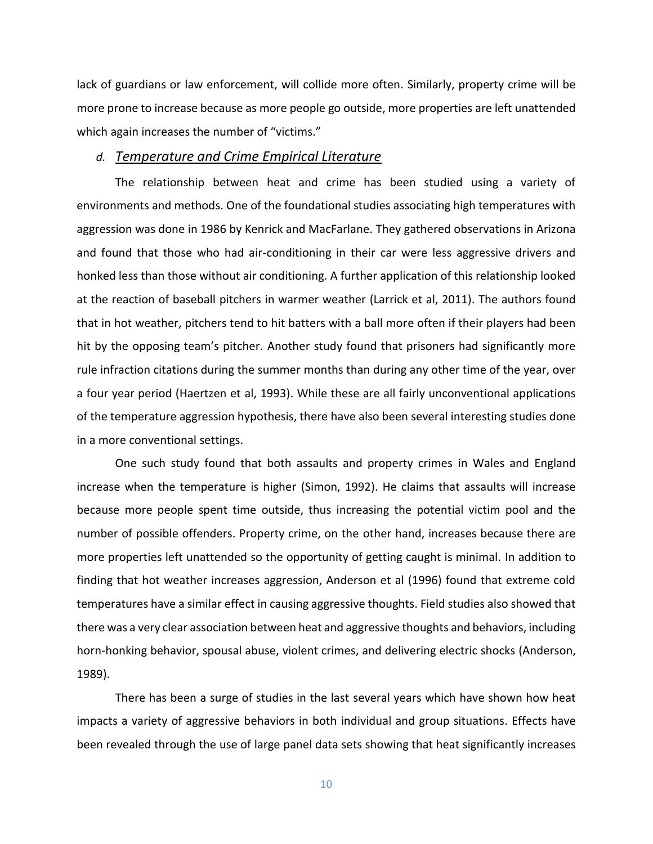lack of guardians or law enforcement, will collide more often. Similarly, property crime will be more prone to increase because as more people go outside, more properties are left unattended which again increases the number of "victims."

#### *d. Temperature and Crime Empirical Literature*

The relationship between heat and crime has been studied using a variety of environments and methods. One of the foundational studies associating high temperatures with aggression was done in 1986 by Kenrick and MacFarlane. They gathered observations in Arizona and found that those who had air-conditioning in their car were less aggressive drivers and honked less than those without air conditioning. A further application of this relationship looked at the reaction of baseball pitchers in warmer weather (Larrick et al, 2011). The authors found that in hot weather, pitchers tend to hit batters with a ball more often if their players had been hit by the opposing team's pitcher. Another study found that prisoners had significantly more rule infraction citations during the summer months than during any other time of the year, over a four year period (Haertzen et al, 1993). While these are all fairly unconventional applications of the temperature aggression hypothesis, there have also been several interesting studies done in a more conventional settings.

One such study found that both assaults and property crimes in Wales and England increase when the temperature is higher (Simon, 1992). He claims that assaults will increase because more people spent time outside, thus increasing the potential victim pool and the number of possible offenders. Property crime, on the other hand, increases because there are more properties left unattended so the opportunity of getting caught is minimal. In addition to finding that hot weather increases aggression, Anderson et al (1996) found that extreme cold temperatures have a similar effect in causing aggressive thoughts. Field studies also showed that there was a very clear association between heat and aggressive thoughts and behaviors, including horn-honking behavior, spousal abuse, violent crimes, and delivering electric shocks (Anderson, 1989).

There has been a surge of studies in the last several years which have shown how heat impacts a variety of aggressive behaviors in both individual and group situations. Effects have been revealed through the use of large panel data sets showing that heat significantly increases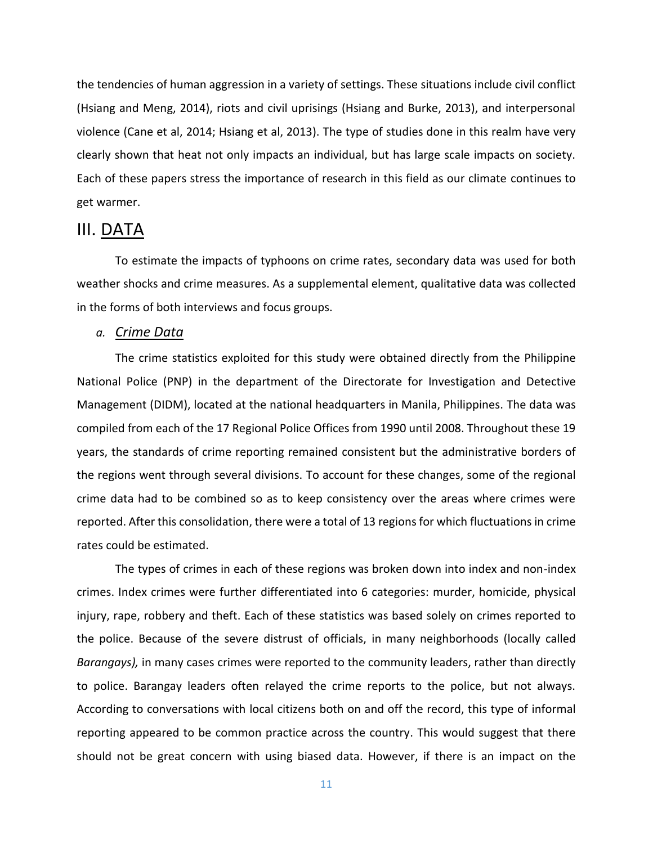the tendencies of human aggression in a variety of settings. These situations include civil conflict (Hsiang and Meng, 2014), riots and civil uprisings (Hsiang and Burke, 2013), and interpersonal violence (Cane et al, 2014; Hsiang et al, 2013). The type of studies done in this realm have very clearly shown that heat not only impacts an individual, but has large scale impacts on society. Each of these papers stress the importance of research in this field as our climate continues to get warmer.

# III. DATA

To estimate the impacts of typhoons on crime rates, secondary data was used for both weather shocks and crime measures. As a supplemental element, qualitative data was collected in the forms of both interviews and focus groups.

#### *a. Crime Data*

The crime statistics exploited for this study were obtained directly from the Philippine National Police (PNP) in the department of the Directorate for Investigation and Detective Management (DIDM), located at the national headquarters in Manila, Philippines. The data was compiled from each of the 17 Regional Police Offices from 1990 until 2008. Throughout these 19 years, the standards of crime reporting remained consistent but the administrative borders of the regions went through several divisions. To account for these changes, some of the regional crime data had to be combined so as to keep consistency over the areas where crimes were reported. After this consolidation, there were a total of 13 regions for which fluctuations in crime rates could be estimated.

The types of crimes in each of these regions was broken down into index and non-index crimes. Index crimes were further differentiated into 6 categories: murder, homicide, physical injury, rape, robbery and theft. Each of these statistics was based solely on crimes reported to the police. Because of the severe distrust of officials, in many neighborhoods (locally called *Barangays),* in many cases crimes were reported to the community leaders, rather than directly to police. Barangay leaders often relayed the crime reports to the police, but not always. According to conversations with local citizens both on and off the record, this type of informal reporting appeared to be common practice across the country. This would suggest that there should not be great concern with using biased data. However, if there is an impact on the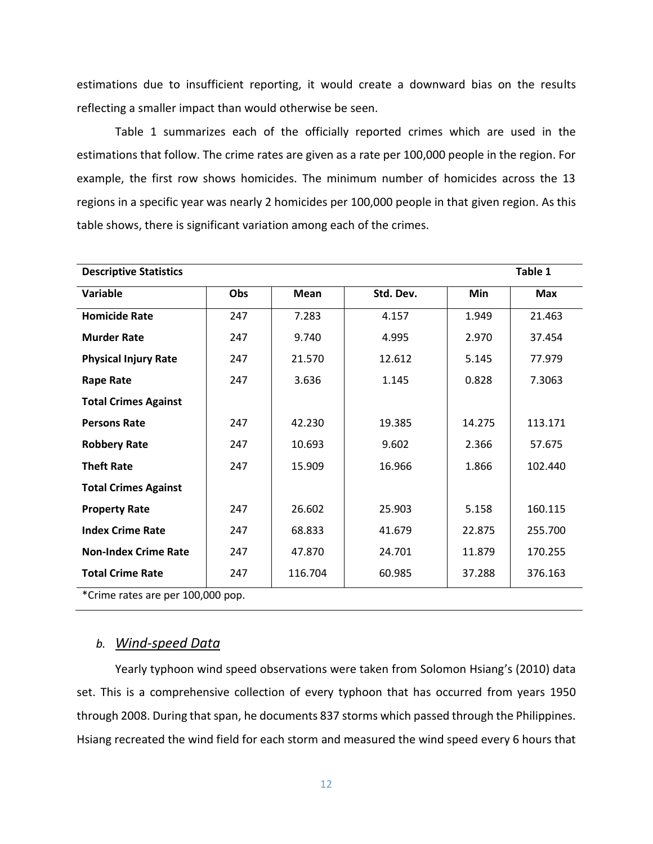estimations due to insufficient reporting, it would create a downward bias on the results reflecting a smaller impact than would otherwise be seen.

Table 1 summarizes each of the officially reported crimes which are used in the estimations that follow. The crime rates are given as a rate per 100,000 people in the region. For example, the first row shows homicides. The minimum number of homicides across the 13 regions in a specific year was nearly 2 homicides per 100,000 people in that given region. As this table shows, there is significant variation among each of the crimes.

| <b>Descriptive Statistics</b>     |     |         |           |        | Table 1    |
|-----------------------------------|-----|---------|-----------|--------|------------|
| Variable                          | Obs | Mean    | Std. Dev. | Min    | <b>Max</b> |
| <b>Homicide Rate</b>              | 247 | 7.283   | 4.157     | 1.949  | 21.463     |
| <b>Murder Rate</b>                | 247 | 9.740   | 4.995     | 2.970  | 37.454     |
| <b>Physical Injury Rate</b>       | 247 | 21.570  | 12.612    | 5.145  | 77.979     |
| <b>Rape Rate</b>                  | 247 | 3.636   | 1.145     | 0.828  | 7.3063     |
| <b>Total Crimes Against</b>       |     |         |           |        |            |
| <b>Persons Rate</b>               | 247 | 42.230  | 19.385    | 14.275 | 113.171    |
| <b>Robbery Rate</b>               | 247 | 10.693  | 9.602     | 2.366  | 57.675     |
| <b>Theft Rate</b>                 | 247 | 15.909  | 16.966    | 1.866  | 102.440    |
| <b>Total Crimes Against</b>       |     |         |           |        |            |
| <b>Property Rate</b>              | 247 | 26.602  | 25.903    | 5.158  | 160.115    |
| <b>Index Crime Rate</b>           | 247 | 68.833  | 41.679    | 22.875 | 255.700    |
| <b>Non-Index Crime Rate</b>       | 247 | 47.870  | 24.701    | 11.879 | 170.255    |
| <b>Total Crime Rate</b>           | 247 | 116.704 | 60.985    | 37.288 | 376.163    |
| *Crime rates are per 100,000 pop. |     |         |           |        |            |

#### *b. Wind-speed Data*

Yearly typhoon wind speed observations were taken from Solomon Hsiang's (2010) data set. This is a comprehensive collection of every typhoon that has occurred from years 1950 through 2008. During that span, he documents 837 storms which passed through the Philippines. Hsiang recreated the wind field for each storm and measured the wind speed every 6 hours that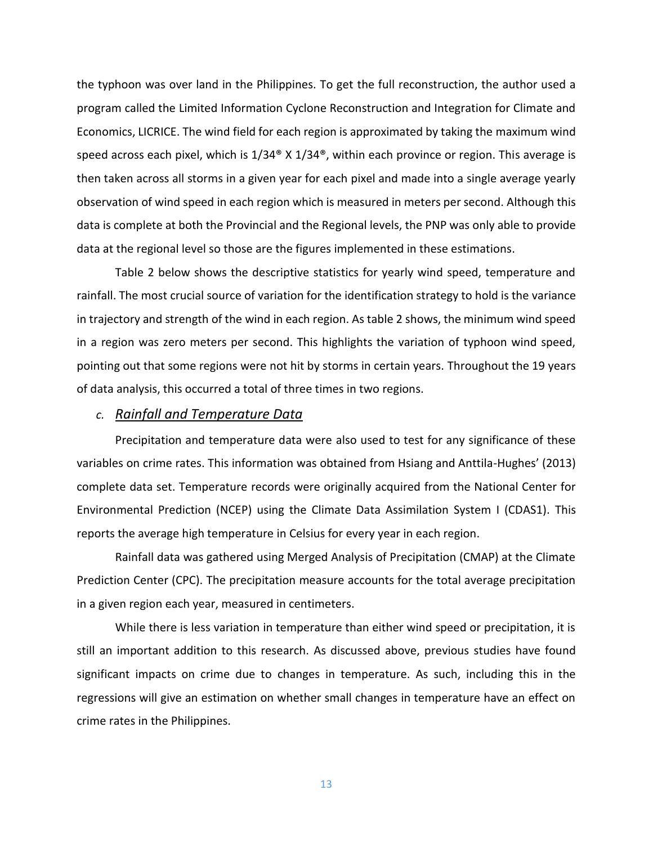the typhoon was over land in the Philippines. To get the full reconstruction, the author used a program called the Limited Information Cyclone Reconstruction and Integration for Climate and Economics, LICRICE. The wind field for each region is approximated by taking the maximum wind speed across each pixel, which is  $1/34^{\circ}$  X  $1/34^{\circ}$ , within each province or region. This average is then taken across all storms in a given year for each pixel and made into a single average yearly observation of wind speed in each region which is measured in meters per second. Although this data is complete at both the Provincial and the Regional levels, the PNP was only able to provide data at the regional level so those are the figures implemented in these estimations.

Table 2 below shows the descriptive statistics for yearly wind speed, temperature and rainfall. The most crucial source of variation for the identification strategy to hold is the variance in trajectory and strength of the wind in each region. As table 2 shows, the minimum wind speed in a region was zero meters per second. This highlights the variation of typhoon wind speed, pointing out that some regions were not hit by storms in certain years. Throughout the 19 years of data analysis, this occurred a total of three times in two regions.

#### *c. Rainfall and Temperature Data*

Precipitation and temperature data were also used to test for any significance of these variables on crime rates. This information was obtained from Hsiang and Anttila-Hughes' (2013) complete data set. Temperature records were originally acquired from the National Center for Environmental Prediction (NCEP) using the Climate Data Assimilation System I (CDAS1). This reports the average high temperature in Celsius for every year in each region.

Rainfall data was gathered using Merged Analysis of Precipitation (CMAP) at the Climate Prediction Center (CPC). The precipitation measure accounts for the total average precipitation in a given region each year, measured in centimeters.

While there is less variation in temperature than either wind speed or precipitation, it is still an important addition to this research. As discussed above, previous studies have found significant impacts on crime due to changes in temperature. As such, including this in the regressions will give an estimation on whether small changes in temperature have an effect on crime rates in the Philippines.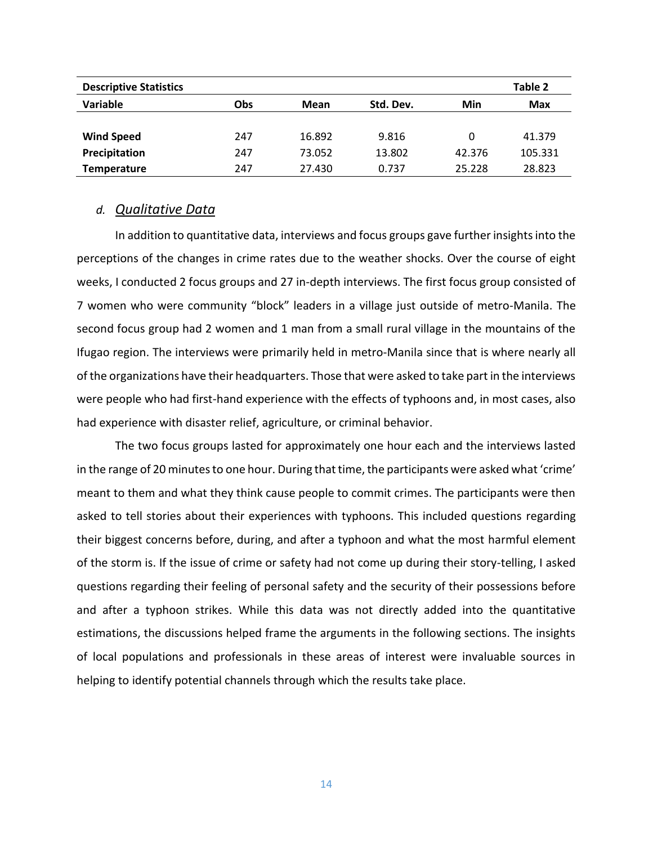| <b>Descriptive Statistics</b> |            |        |           |        | Table 2    |
|-------------------------------|------------|--------|-----------|--------|------------|
| Variable                      | <b>Obs</b> | Mean   | Std. Dev. | Min    | <b>Max</b> |
|                               |            |        |           |        |            |
| <b>Wind Speed</b>             | 247        | 16.892 | 9.816     | 0      | 41.379     |
| Precipitation                 | 247        | 73.052 | 13.802    | 42.376 | 105.331    |
| <b>Temperature</b>            | 247        | 27.430 | 0.737     | 25.228 | 28.823     |

#### *d. Qualitative Data*

In addition to quantitative data, interviews and focus groups gave further insights into the perceptions of the changes in crime rates due to the weather shocks. Over the course of eight weeks, I conducted 2 focus groups and 27 in-depth interviews. The first focus group consisted of 7 women who were community "block" leaders in a village just outside of metro-Manila. The second focus group had 2 women and 1 man from a small rural village in the mountains of the Ifugao region. The interviews were primarily held in metro-Manila since that is where nearly all of the organizations have their headquarters. Those that were asked to take part in the interviews were people who had first-hand experience with the effects of typhoons and, in most cases, also had experience with disaster relief, agriculture, or criminal behavior.

The two focus groups lasted for approximately one hour each and the interviews lasted in the range of 20 minutes to one hour. During that time, the participants were asked what 'crime' meant to them and what they think cause people to commit crimes. The participants were then asked to tell stories about their experiences with typhoons. This included questions regarding their biggest concerns before, during, and after a typhoon and what the most harmful element of the storm is. If the issue of crime or safety had not come up during their story-telling, I asked questions regarding their feeling of personal safety and the security of their possessions before and after a typhoon strikes. While this data was not directly added into the quantitative estimations, the discussions helped frame the arguments in the following sections. The insights of local populations and professionals in these areas of interest were invaluable sources in helping to identify potential channels through which the results take place.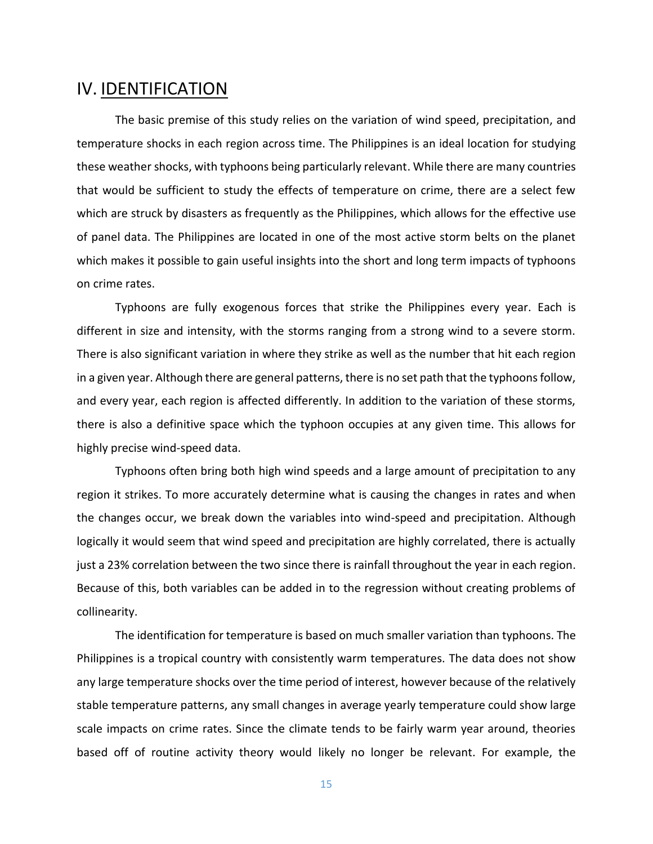# IV. IDENTIFICATION

The basic premise of this study relies on the variation of wind speed, precipitation, and temperature shocks in each region across time. The Philippines is an ideal location for studying these weather shocks, with typhoons being particularly relevant. While there are many countries that would be sufficient to study the effects of temperature on crime, there are a select few which are struck by disasters as frequently as the Philippines, which allows for the effective use of panel data. The Philippines are located in one of the most active storm belts on the planet which makes it possible to gain useful insights into the short and long term impacts of typhoons on crime rates.

Typhoons are fully exogenous forces that strike the Philippines every year. Each is different in size and intensity, with the storms ranging from a strong wind to a severe storm. There is also significant variation in where they strike as well as the number that hit each region in a given year. Although there are general patterns, there is no set path that the typhoons follow, and every year, each region is affected differently. In addition to the variation of these storms, there is also a definitive space which the typhoon occupies at any given time. This allows for highly precise wind-speed data.

Typhoons often bring both high wind speeds and a large amount of precipitation to any region it strikes. To more accurately determine what is causing the changes in rates and when the changes occur, we break down the variables into wind-speed and precipitation. Although logically it would seem that wind speed and precipitation are highly correlated, there is actually just a 23% correlation between the two since there is rainfall throughout the year in each region. Because of this, both variables can be added in to the regression without creating problems of collinearity.

The identification for temperature is based on much smaller variation than typhoons. The Philippines is a tropical country with consistently warm temperatures. The data does not show any large temperature shocks over the time period of interest, however because of the relatively stable temperature patterns, any small changes in average yearly temperature could show large scale impacts on crime rates. Since the climate tends to be fairly warm year around, theories based off of routine activity theory would likely no longer be relevant. For example, the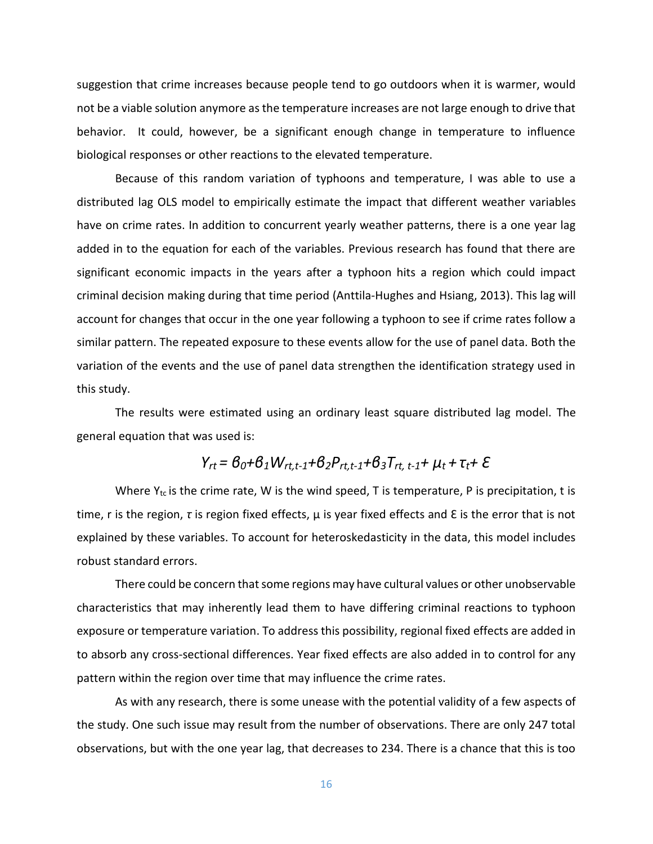suggestion that crime increases because people tend to go outdoors when it is warmer, would not be a viable solution anymore as the temperature increases are not large enough to drive that behavior. It could, however, be a significant enough change in temperature to influence biological responses or other reactions to the elevated temperature.

Because of this random variation of typhoons and temperature, I was able to use a distributed lag OLS model to empirically estimate the impact that different weather variables have on crime rates. In addition to concurrent yearly weather patterns, there is a one year lag added in to the equation for each of the variables. Previous research has found that there are significant economic impacts in the years after a typhoon hits a region which could impact criminal decision making during that time period (Anttila-Hughes and Hsiang, 2013). This lag will account for changes that occur in the one year following a typhoon to see if crime rates follow a similar pattern. The repeated exposure to these events allow for the use of panel data. Both the variation of the events and the use of panel data strengthen the identification strategy used in this study.

The results were estimated using an ordinary least square distributed lag model. The general equation that was used is:

# *Yrt = β0+β1Wrt,t-1+β2Prt,t-1+β3Trt, t-1+ µt + τt+ Ɛ*

Where  $Y_{tc}$  is the crime rate, W is the wind speed, T is temperature, P is precipitation, t is time, r is the region, *τ* is region fixed effects, µ is year fixed effects and Ɛ is the error that is not explained by these variables. To account for heteroskedasticity in the data, this model includes robust standard errors.

There could be concern that some regions may have cultural values or other unobservable characteristics that may inherently lead them to have differing criminal reactions to typhoon exposure or temperature variation. To address this possibility, regional fixed effects are added in to absorb any cross-sectional differences. Year fixed effects are also added in to control for any pattern within the region over time that may influence the crime rates.

As with any research, there is some unease with the potential validity of a few aspects of the study. One such issue may result from the number of observations. There are only 247 total observations, but with the one year lag, that decreases to 234. There is a chance that this is too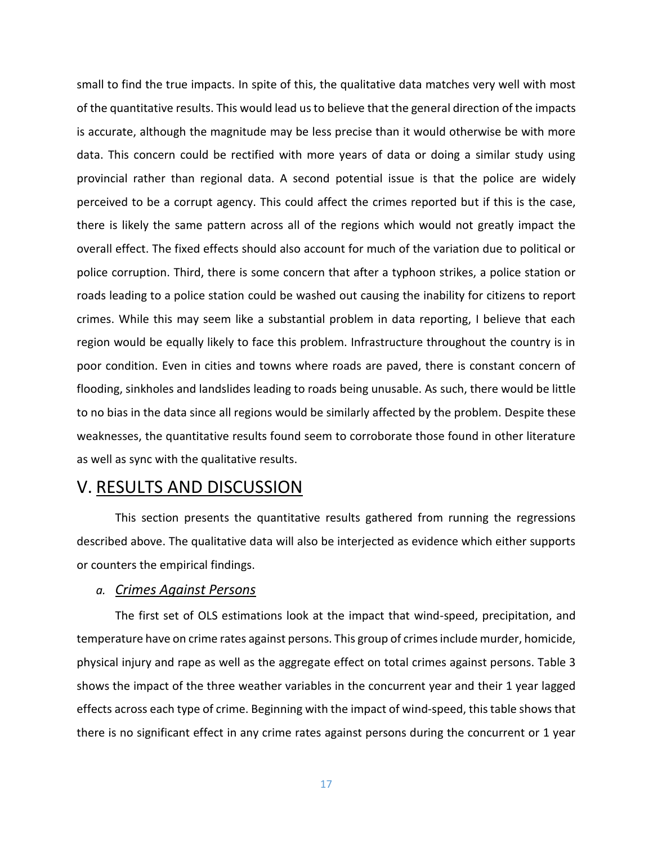small to find the true impacts. In spite of this, the qualitative data matches very well with most of the quantitative results. This would lead us to believe that the general direction of the impacts is accurate, although the magnitude may be less precise than it would otherwise be with more data. This concern could be rectified with more years of data or doing a similar study using provincial rather than regional data. A second potential issue is that the police are widely perceived to be a corrupt agency. This could affect the crimes reported but if this is the case, there is likely the same pattern across all of the regions which would not greatly impact the overall effect. The fixed effects should also account for much of the variation due to political or police corruption. Third, there is some concern that after a typhoon strikes, a police station or roads leading to a police station could be washed out causing the inability for citizens to report crimes. While this may seem like a substantial problem in data reporting, I believe that each region would be equally likely to face this problem. Infrastructure throughout the country is in poor condition. Even in cities and towns where roads are paved, there is constant concern of flooding, sinkholes and landslides leading to roads being unusable. As such, there would be little to no bias in the data since all regions would be similarly affected by the problem. Despite these weaknesses, the quantitative results found seem to corroborate those found in other literature as well as sync with the qualitative results.

# V. RESULTS AND DISCUSSION

This section presents the quantitative results gathered from running the regressions described above. The qualitative data will also be interjected as evidence which either supports or counters the empirical findings.

#### *a. Crimes Against Persons*

The first set of OLS estimations look at the impact that wind-speed, precipitation, and temperature have on crime rates against persons. This group of crimes include murder, homicide, physical injury and rape as well as the aggregate effect on total crimes against persons. Table 3 shows the impact of the three weather variables in the concurrent year and their 1 year lagged effects across each type of crime. Beginning with the impact of wind-speed, this table shows that there is no significant effect in any crime rates against persons during the concurrent or 1 year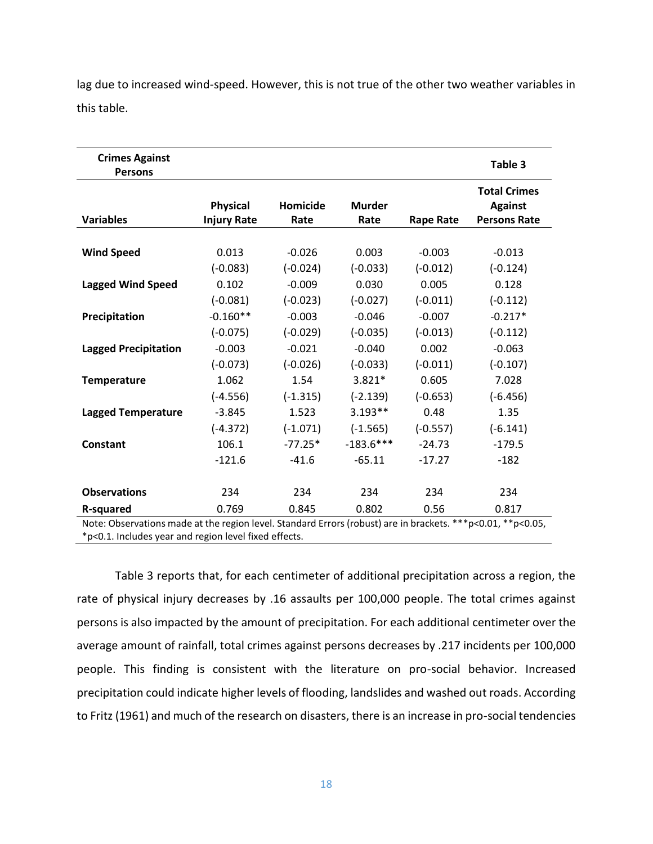| <b>Crimes Against</b><br><b>Persons</b>                                                                     |                                       |                  |                       |                  | Table 3                                                      |
|-------------------------------------------------------------------------------------------------------------|---------------------------------------|------------------|-----------------------|------------------|--------------------------------------------------------------|
| <b>Variables</b>                                                                                            | <b>Physical</b><br><b>Injury Rate</b> | Homicide<br>Rate | <b>Murder</b><br>Rate | <b>Rape Rate</b> | <b>Total Crimes</b><br><b>Against</b><br><b>Persons Rate</b> |
|                                                                                                             |                                       |                  |                       |                  |                                                              |
| <b>Wind Speed</b>                                                                                           | 0.013                                 | $-0.026$         | 0.003                 | $-0.003$         | $-0.013$                                                     |
|                                                                                                             | $(-0.083)$                            | $(-0.024)$       | $(-0.033)$            | $(-0.012)$       | $(-0.124)$                                                   |
| <b>Lagged Wind Speed</b>                                                                                    | 0.102                                 | $-0.009$         | 0.030                 | 0.005            | 0.128                                                        |
|                                                                                                             | $(-0.081)$                            | $(-0.023)$       | $(-0.027)$            | $(-0.011)$       | $(-0.112)$                                                   |
| Precipitation                                                                                               | $-0.160**$                            | $-0.003$         | $-0.046$              | $-0.007$         | $-0.217*$                                                    |
|                                                                                                             | $(-0.075)$                            | $(-0.029)$       | $(-0.035)$            | $(-0.013)$       | $(-0.112)$                                                   |
| <b>Lagged Precipitation</b>                                                                                 | $-0.003$                              | $-0.021$         | $-0.040$              | 0.002            | $-0.063$                                                     |
|                                                                                                             | $(-0.073)$                            | $(-0.026)$       | $(-0.033)$            | $(-0.011)$       | $(-0.107)$                                                   |
| <b>Temperature</b>                                                                                          | 1.062                                 | 1.54             | $3.821*$              | 0.605            | 7.028                                                        |
|                                                                                                             | $(-4.556)$                            | $(-1.315)$       | $(-2.139)$            | $(-0.653)$       | $(-6.456)$                                                   |
| <b>Lagged Temperature</b>                                                                                   | $-3.845$                              | 1.523            | $3.193**$             | 0.48             | 1.35                                                         |
|                                                                                                             | $(-4.372)$                            | $(-1.071)$       | $(-1.565)$            | $(-0.557)$       | $(-6.141)$                                                   |
| <b>Constant</b>                                                                                             | 106.1                                 | $-77.25*$        | $-183.6***$           | $-24.73$         | $-179.5$                                                     |
|                                                                                                             | $-121.6$                              | $-41.6$          | $-65.11$              | $-17.27$         | $-182$                                                       |
| <b>Observations</b>                                                                                         | 234                                   | 234              | 234                   | 234              | 234                                                          |
| R-squared                                                                                                   | 0.769                                 | 0.845            | 0.802                 | 0.56             | 0.817                                                        |
| Note: Observations made at the region level. Standard Errors (robust) are in brackets. ***p<0.01, **p<0.05, |                                       |                  |                       |                  |                                                              |
| *p<0.1. Includes year and region level fixed effects.                                                       |                                       |                  |                       |                  |                                                              |

lag due to increased wind-speed. However, this is not true of the other two weather variables in this table.

Table 3 reports that, for each centimeter of additional precipitation across a region, the rate of physical injury decreases by .16 assaults per 100,000 people. The total crimes against persons is also impacted by the amount of precipitation. For each additional centimeter over the average amount of rainfall, total crimes against persons decreases by .217 incidents per 100,000 people. This finding is consistent with the literature on pro-social behavior. Increased precipitation could indicate higher levels of flooding, landslides and washed out roads. According to Fritz (1961) and much of the research on disasters, there is an increase in pro-social tendencies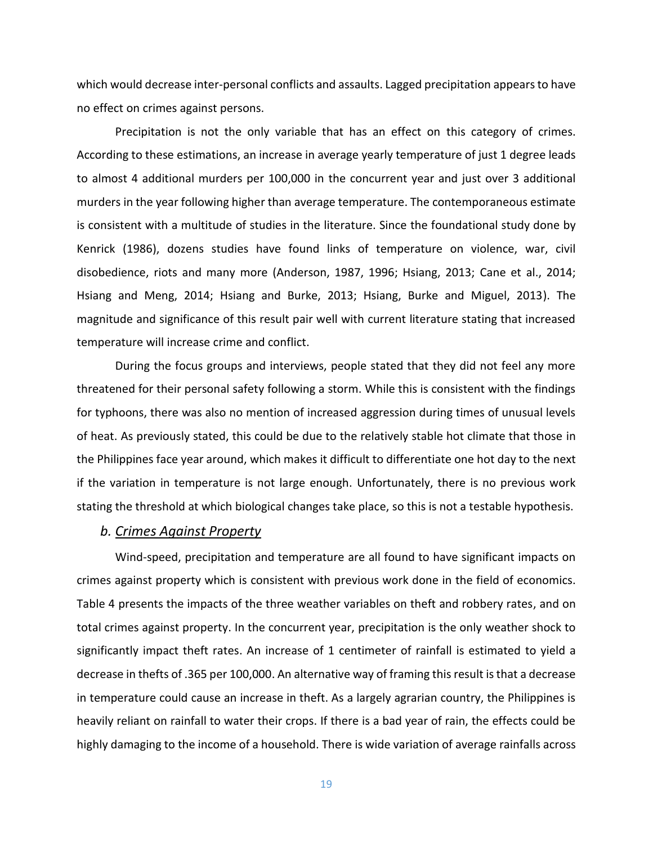which would decrease inter-personal conflicts and assaults. Lagged precipitation appears to have no effect on crimes against persons.

Precipitation is not the only variable that has an effect on this category of crimes. According to these estimations, an increase in average yearly temperature of just 1 degree leads to almost 4 additional murders per 100,000 in the concurrent year and just over 3 additional murders in the year following higher than average temperature. The contemporaneous estimate is consistent with a multitude of studies in the literature. Since the foundational study done by Kenrick (1986), dozens studies have found links of temperature on violence, war, civil disobedience, riots and many more (Anderson, 1987, 1996; Hsiang, 2013; Cane et al., 2014; Hsiang and Meng, 2014; Hsiang and Burke, 2013; Hsiang, Burke and Miguel, 2013). The magnitude and significance of this result pair well with current literature stating that increased temperature will increase crime and conflict.

During the focus groups and interviews, people stated that they did not feel any more threatened for their personal safety following a storm. While this is consistent with the findings for typhoons, there was also no mention of increased aggression during times of unusual levels of heat. As previously stated, this could be due to the relatively stable hot climate that those in the Philippines face year around, which makes it difficult to differentiate one hot day to the next if the variation in temperature is not large enough. Unfortunately, there is no previous work stating the threshold at which biological changes take place, so this is not a testable hypothesis.

#### *b. Crimes Against Property*

Wind-speed, precipitation and temperature are all found to have significant impacts on crimes against property which is consistent with previous work done in the field of economics. Table 4 presents the impacts of the three weather variables on theft and robbery rates, and on total crimes against property. In the concurrent year, precipitation is the only weather shock to significantly impact theft rates. An increase of 1 centimeter of rainfall is estimated to yield a decrease in thefts of .365 per 100,000. An alternative way of framing this result is that a decrease in temperature could cause an increase in theft. As a largely agrarian country, the Philippines is heavily reliant on rainfall to water their crops. If there is a bad year of rain, the effects could be highly damaging to the income of a household. There is wide variation of average rainfalls across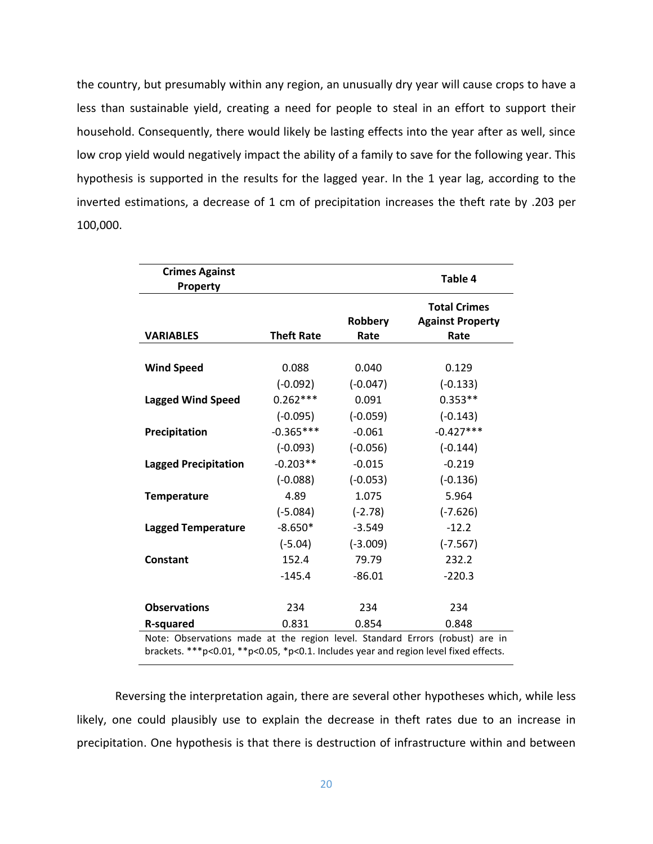the country, but presumably within any region, an unusually dry year will cause crops to have a less than sustainable yield, creating a need for people to steal in an effort to support their household. Consequently, there would likely be lasting effects into the year after as well, since low crop yield would negatively impact the ability of a family to save for the following year. This hypothesis is supported in the results for the lagged year. In the 1 year lag, according to the inverted estimations, a decrease of 1 cm of precipitation increases the theft rate by .203 per 100,000.

| <b>Crimes Against</b><br>Property                                                    |                   |                 | Table 4                                                |  |
|--------------------------------------------------------------------------------------|-------------------|-----------------|--------------------------------------------------------|--|
| <b>VARIABLES</b>                                                                     | <b>Theft Rate</b> | Robbery<br>Rate | <b>Total Crimes</b><br><b>Against Property</b><br>Rate |  |
|                                                                                      |                   |                 |                                                        |  |
| <b>Wind Speed</b>                                                                    | 0.088             | 0.040           | 0.129                                                  |  |
|                                                                                      | $(-0.092)$        | $(-0.047)$      | $(-0.133)$                                             |  |
| <b>Lagged Wind Speed</b>                                                             | $0.262***$        | 0.091           | $0.353**$                                              |  |
|                                                                                      | $(-0.095)$        | $(-0.059)$      | $(-0.143)$                                             |  |
| Precipitation                                                                        | $-0.365***$       | $-0.061$        | $-0.427***$                                            |  |
|                                                                                      | $(-0.093)$        | $(-0.056)$      | $(-0.144)$                                             |  |
| <b>Lagged Precipitation</b>                                                          | $-0.203**$        | $-0.015$        | $-0.219$                                               |  |
|                                                                                      | $(-0.088)$        | $(-0.053)$      | $(-0.136)$                                             |  |
| <b>Temperature</b>                                                                   | 4.89              | 1.075           | 5.964                                                  |  |
|                                                                                      | $(-5.084)$        | $(-2.78)$       | $(-7.626)$                                             |  |
| <b>Lagged Temperature</b>                                                            | $-8.650*$         | $-3.549$        | $-12.2$                                                |  |
|                                                                                      | $(-5.04)$         | $(-3.009)$      | $(-7.567)$                                             |  |
| <b>Constant</b>                                                                      | 152.4             | 79.79           | 232.2                                                  |  |
|                                                                                      | $-145.4$          | $-86.01$        | $-220.3$                                               |  |
| <b>Observations</b>                                                                  | 234               | 234             | 234                                                    |  |
| <b>R-squared</b>                                                                     | 0.831             | 0.854           | 0.848                                                  |  |
| Note: Observations made at the region level. Standard Errors (robust) are in         |                   |                 |                                                        |  |
| brackets. ***p<0.01, **p<0.05, *p<0.1. Includes year and region level fixed effects. |                   |                 |                                                        |  |

Reversing the interpretation again, there are several other hypotheses which, while less likely, one could plausibly use to explain the decrease in theft rates due to an increase in precipitation. One hypothesis is that there is destruction of infrastructure within and between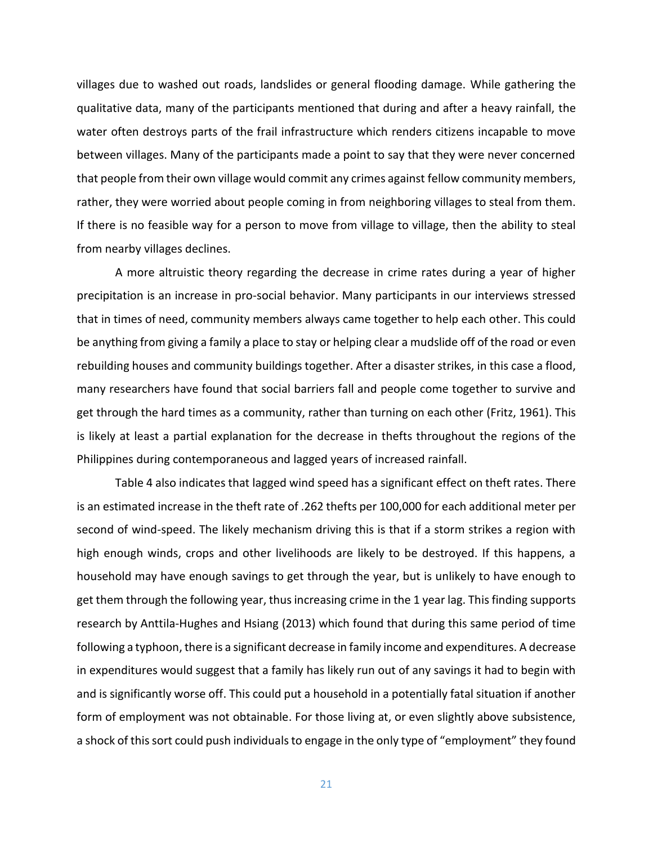villages due to washed out roads, landslides or general flooding damage. While gathering the qualitative data, many of the participants mentioned that during and after a heavy rainfall, the water often destroys parts of the frail infrastructure which renders citizens incapable to move between villages. Many of the participants made a point to say that they were never concerned that people from their own village would commit any crimes against fellow community members, rather, they were worried about people coming in from neighboring villages to steal from them. If there is no feasible way for a person to move from village to village, then the ability to steal from nearby villages declines.

A more altruistic theory regarding the decrease in crime rates during a year of higher precipitation is an increase in pro-social behavior. Many participants in our interviews stressed that in times of need, community members always came together to help each other. This could be anything from giving a family a place to stay or helping clear a mudslide off of the road or even rebuilding houses and community buildings together. After a disaster strikes, in this case a flood, many researchers have found that social barriers fall and people come together to survive and get through the hard times as a community, rather than turning on each other (Fritz, 1961). This is likely at least a partial explanation for the decrease in thefts throughout the regions of the Philippines during contemporaneous and lagged years of increased rainfall.

Table 4 also indicates that lagged wind speed has a significant effect on theft rates. There is an estimated increase in the theft rate of .262 thefts per 100,000 for each additional meter per second of wind-speed. The likely mechanism driving this is that if a storm strikes a region with high enough winds, crops and other livelihoods are likely to be destroyed. If this happens, a household may have enough savings to get through the year, but is unlikely to have enough to get them through the following year, thus increasing crime in the 1 year lag. This finding supports research by Anttila-Hughes and Hsiang (2013) which found that during this same period of time following a typhoon, there is a significant decrease in family income and expenditures. A decrease in expenditures would suggest that a family has likely run out of any savings it had to begin with and is significantly worse off. This could put a household in a potentially fatal situation if another form of employment was not obtainable. For those living at, or even slightly above subsistence, a shock of this sort could push individuals to engage in the only type of "employment" they found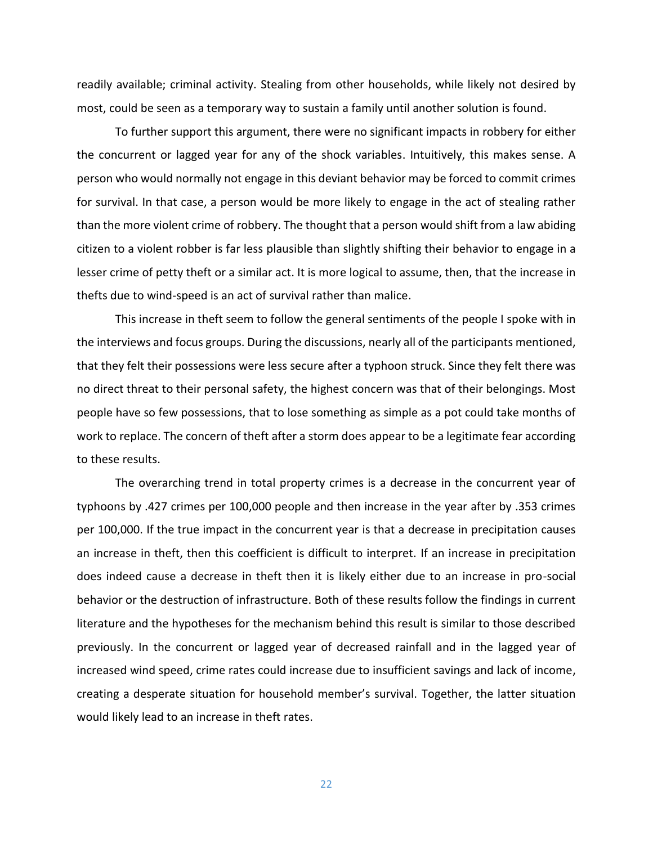readily available; criminal activity. Stealing from other households, while likely not desired by most, could be seen as a temporary way to sustain a family until another solution is found.

To further support this argument, there were no significant impacts in robbery for either the concurrent or lagged year for any of the shock variables. Intuitively, this makes sense. A person who would normally not engage in this deviant behavior may be forced to commit crimes for survival. In that case, a person would be more likely to engage in the act of stealing rather than the more violent crime of robbery. The thought that a person would shift from a law abiding citizen to a violent robber is far less plausible than slightly shifting their behavior to engage in a lesser crime of petty theft or a similar act. It is more logical to assume, then, that the increase in thefts due to wind-speed is an act of survival rather than malice.

This increase in theft seem to follow the general sentiments of the people I spoke with in the interviews and focus groups. During the discussions, nearly all of the participants mentioned, that they felt their possessions were less secure after a typhoon struck. Since they felt there was no direct threat to their personal safety, the highest concern was that of their belongings. Most people have so few possessions, that to lose something as simple as a pot could take months of work to replace. The concern of theft after a storm does appear to be a legitimate fear according to these results.

The overarching trend in total property crimes is a decrease in the concurrent year of typhoons by .427 crimes per 100,000 people and then increase in the year after by .353 crimes per 100,000. If the true impact in the concurrent year is that a decrease in precipitation causes an increase in theft, then this coefficient is difficult to interpret. If an increase in precipitation does indeed cause a decrease in theft then it is likely either due to an increase in pro-social behavior or the destruction of infrastructure. Both of these results follow the findings in current literature and the hypotheses for the mechanism behind this result is similar to those described previously. In the concurrent or lagged year of decreased rainfall and in the lagged year of increased wind speed, crime rates could increase due to insufficient savings and lack of income, creating a desperate situation for household member's survival. Together, the latter situation would likely lead to an increase in theft rates.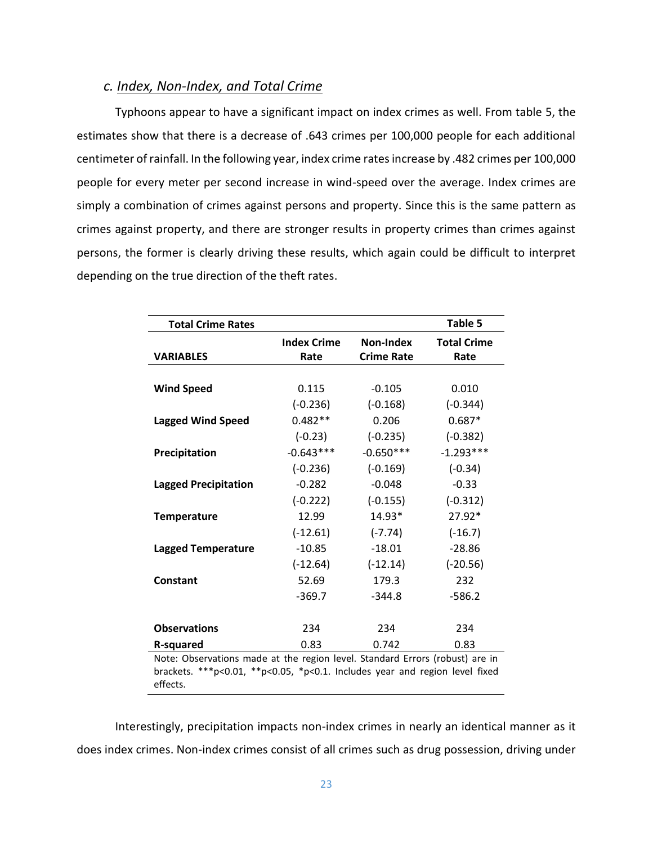## *c. Index, Non-Index, and Total Crime*

Typhoons appear to have a significant impact on index crimes as well. From table 5, the estimates show that there is a decrease of .643 crimes per 100,000 people for each additional centimeter of rainfall. In the following year, index crime rates increase by .482 crimes per 100,000 people for every meter per second increase in wind-speed over the average. Index crimes are simply a combination of crimes against persons and property. Since this is the same pattern as crimes against property, and there are stronger results in property crimes than crimes against persons, the former is clearly driving these results, which again could be difficult to interpret depending on the true direction of the theft rates.

| <b>Total Crime Rates</b>                                                     |                            |                                | Table 5                    |  |
|------------------------------------------------------------------------------|----------------------------|--------------------------------|----------------------------|--|
| <b>VARIABLES</b>                                                             | <b>Index Crime</b><br>Rate | Non-Index<br><b>Crime Rate</b> | <b>Total Crime</b><br>Rate |  |
|                                                                              |                            |                                |                            |  |
| <b>Wind Speed</b>                                                            | 0.115                      | $-0.105$                       | 0.010                      |  |
|                                                                              | $(-0.236)$                 | $(-0.168)$                     | $(-0.344)$                 |  |
| <b>Lagged Wind Speed</b>                                                     | $0.482**$                  | 0.206                          | $0.687*$                   |  |
|                                                                              | $(-0.23)$                  | $(-0.235)$                     | $(-0.382)$                 |  |
| Precipitation                                                                | $-0.643***$                | $-0.650***$                    | $-1.293***$                |  |
|                                                                              | $(-0.236)$                 | $(-0.169)$                     | $(-0.34)$                  |  |
| <b>Lagged Precipitation</b>                                                  | $-0.282$                   | $-0.048$                       | $-0.33$                    |  |
|                                                                              | $(-0.222)$                 | $(-0.155)$                     | $(-0.312)$                 |  |
| <b>Temperature</b>                                                           | 12.99                      | 14.93*                         | 27.92*                     |  |
|                                                                              | $(-12.61)$                 | $(-7.74)$                      | $(-16.7)$                  |  |
| <b>Lagged Temperature</b>                                                    | $-10.85$                   | $-18.01$                       | $-28.86$                   |  |
|                                                                              | $(-12.64)$                 | $(-12.14)$                     | $(-20.56)$                 |  |
| Constant                                                                     | 52.69                      | 179.3                          | 232                        |  |
|                                                                              | $-369.7$                   | $-344.8$                       | $-586.2$                   |  |
|                                                                              |                            |                                |                            |  |
| <b>Observations</b>                                                          | 234                        | 234                            | 234                        |  |
| R-squared                                                                    | 0.83                       | 0.742                          | 0.83                       |  |
| Note: Observations made at the region level. Standard Errors (robust) are in |                            |                                |                            |  |

brackets. \*\*\*p<0.01, \*\*p<0.05, \*p<0.1. Includes year and region level fixed effects.

Interestingly, precipitation impacts non-index crimes in nearly an identical manner as it does index crimes. Non-index crimes consist of all crimes such as drug possession, driving under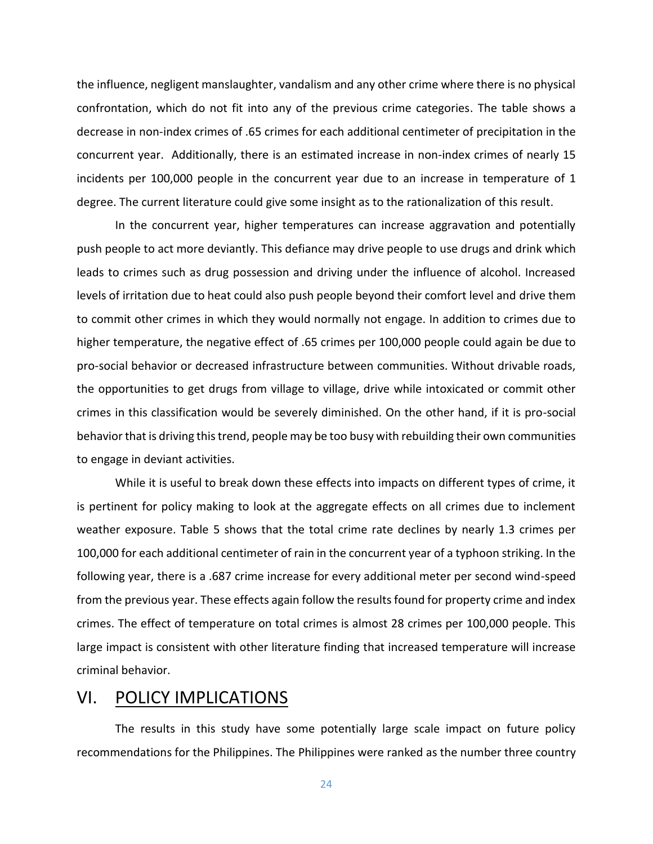the influence, negligent manslaughter, vandalism and any other crime where there is no physical confrontation, which do not fit into any of the previous crime categories. The table shows a decrease in non-index crimes of .65 crimes for each additional centimeter of precipitation in the concurrent year. Additionally, there is an estimated increase in non-index crimes of nearly 15 incidents per 100,000 people in the concurrent year due to an increase in temperature of 1 degree. The current literature could give some insight as to the rationalization of this result.

In the concurrent year, higher temperatures can increase aggravation and potentially push people to act more deviantly. This defiance may drive people to use drugs and drink which leads to crimes such as drug possession and driving under the influence of alcohol. Increased levels of irritation due to heat could also push people beyond their comfort level and drive them to commit other crimes in which they would normally not engage. In addition to crimes due to higher temperature, the negative effect of .65 crimes per 100,000 people could again be due to pro-social behavior or decreased infrastructure between communities. Without drivable roads, the opportunities to get drugs from village to village, drive while intoxicated or commit other crimes in this classification would be severely diminished. On the other hand, if it is pro-social behavior that is driving this trend, people may be too busy with rebuilding their own communities to engage in deviant activities.

While it is useful to break down these effects into impacts on different types of crime, it is pertinent for policy making to look at the aggregate effects on all crimes due to inclement weather exposure. Table 5 shows that the total crime rate declines by nearly 1.3 crimes per 100,000 for each additional centimeter of rain in the concurrent year of a typhoon striking. In the following year, there is a .687 crime increase for every additional meter per second wind-speed from the previous year. These effects again follow the results found for property crime and index crimes. The effect of temperature on total crimes is almost 28 crimes per 100,000 people. This large impact is consistent with other literature finding that increased temperature will increase criminal behavior.

# VI. POLICY IMPLICATIONS

The results in this study have some potentially large scale impact on future policy recommendations for the Philippines. The Philippines were ranked as the number three country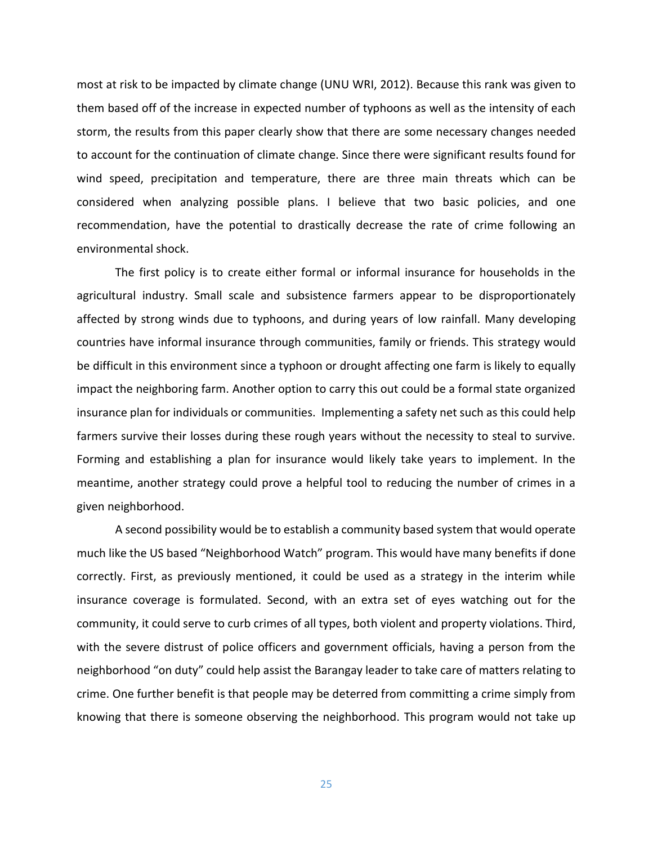most at risk to be impacted by climate change (UNU WRI, 2012). Because this rank was given to them based off of the increase in expected number of typhoons as well as the intensity of each storm, the results from this paper clearly show that there are some necessary changes needed to account for the continuation of climate change. Since there were significant results found for wind speed, precipitation and temperature, there are three main threats which can be considered when analyzing possible plans. I believe that two basic policies, and one recommendation, have the potential to drastically decrease the rate of crime following an environmental shock.

The first policy is to create either formal or informal insurance for households in the agricultural industry. Small scale and subsistence farmers appear to be disproportionately affected by strong winds due to typhoons, and during years of low rainfall. Many developing countries have informal insurance through communities, family or friends. This strategy would be difficult in this environment since a typhoon or drought affecting one farm is likely to equally impact the neighboring farm. Another option to carry this out could be a formal state organized insurance plan for individuals or communities. Implementing a safety net such as this could help farmers survive their losses during these rough years without the necessity to steal to survive. Forming and establishing a plan for insurance would likely take years to implement. In the meantime, another strategy could prove a helpful tool to reducing the number of crimes in a given neighborhood.

A second possibility would be to establish a community based system that would operate much like the US based "Neighborhood Watch" program. This would have many benefits if done correctly. First, as previously mentioned, it could be used as a strategy in the interim while insurance coverage is formulated. Second, with an extra set of eyes watching out for the community, it could serve to curb crimes of all types, both violent and property violations. Third, with the severe distrust of police officers and government officials, having a person from the neighborhood "on duty" could help assist the Barangay leader to take care of matters relating to crime. One further benefit is that people may be deterred from committing a crime simply from knowing that there is someone observing the neighborhood. This program would not take up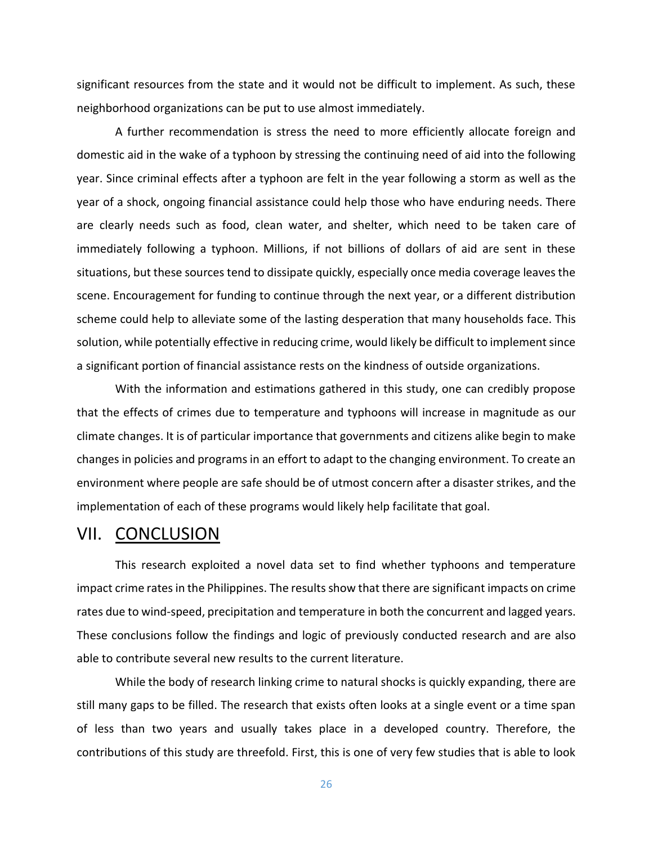significant resources from the state and it would not be difficult to implement. As such, these neighborhood organizations can be put to use almost immediately.

A further recommendation is stress the need to more efficiently allocate foreign and domestic aid in the wake of a typhoon by stressing the continuing need of aid into the following year. Since criminal effects after a typhoon are felt in the year following a storm as well as the year of a shock, ongoing financial assistance could help those who have enduring needs. There are clearly needs such as food, clean water, and shelter, which need to be taken care of immediately following a typhoon. Millions, if not billions of dollars of aid are sent in these situations, but these sources tend to dissipate quickly, especially once media coverage leaves the scene. Encouragement for funding to continue through the next year, or a different distribution scheme could help to alleviate some of the lasting desperation that many households face. This solution, while potentially effective in reducing crime, would likely be difficult to implement since a significant portion of financial assistance rests on the kindness of outside organizations.

With the information and estimations gathered in this study, one can credibly propose that the effects of crimes due to temperature and typhoons will increase in magnitude as our climate changes. It is of particular importance that governments and citizens alike begin to make changes in policies and programs in an effort to adapt to the changing environment. To create an environment where people are safe should be of utmost concern after a disaster strikes, and the implementation of each of these programs would likely help facilitate that goal.

# VII. CONCLUSION

This research exploited a novel data set to find whether typhoons and temperature impact crime rates in the Philippines. The results show that there are significant impacts on crime rates due to wind-speed, precipitation and temperature in both the concurrent and lagged years. These conclusions follow the findings and logic of previously conducted research and are also able to contribute several new results to the current literature.

While the body of research linking crime to natural shocks is quickly expanding, there are still many gaps to be filled. The research that exists often looks at a single event or a time span of less than two years and usually takes place in a developed country. Therefore, the contributions of this study are threefold. First, this is one of very few studies that is able to look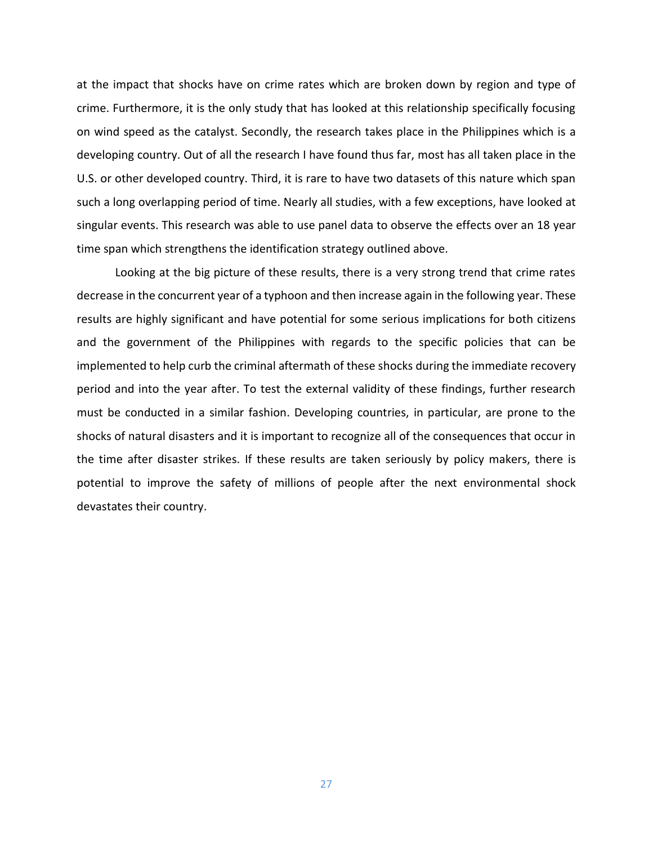at the impact that shocks have on crime rates which are broken down by region and type of crime. Furthermore, it is the only study that has looked at this relationship specifically focusing on wind speed as the catalyst. Secondly, the research takes place in the Philippines which is a developing country. Out of all the research I have found thus far, most has all taken place in the U.S. or other developed country. Third, it is rare to have two datasets of this nature which span such a long overlapping period of time. Nearly all studies, with a few exceptions, have looked at singular events. This research was able to use panel data to observe the effects over an 18 year time span which strengthens the identification strategy outlined above.

Looking at the big picture of these results, there is a very strong trend that crime rates decrease in the concurrent year of a typhoon and then increase again in the following year. These results are highly significant and have potential for some serious implications for both citizens and the government of the Philippines with regards to the specific policies that can be implemented to help curb the criminal aftermath of these shocks during the immediate recovery period and into the year after. To test the external validity of these findings, further research must be conducted in a similar fashion. Developing countries, in particular, are prone to the shocks of natural disasters and it is important to recognize all of the consequences that occur in the time after disaster strikes. If these results are taken seriously by policy makers, there is potential to improve the safety of millions of people after the next environmental shock devastates their country.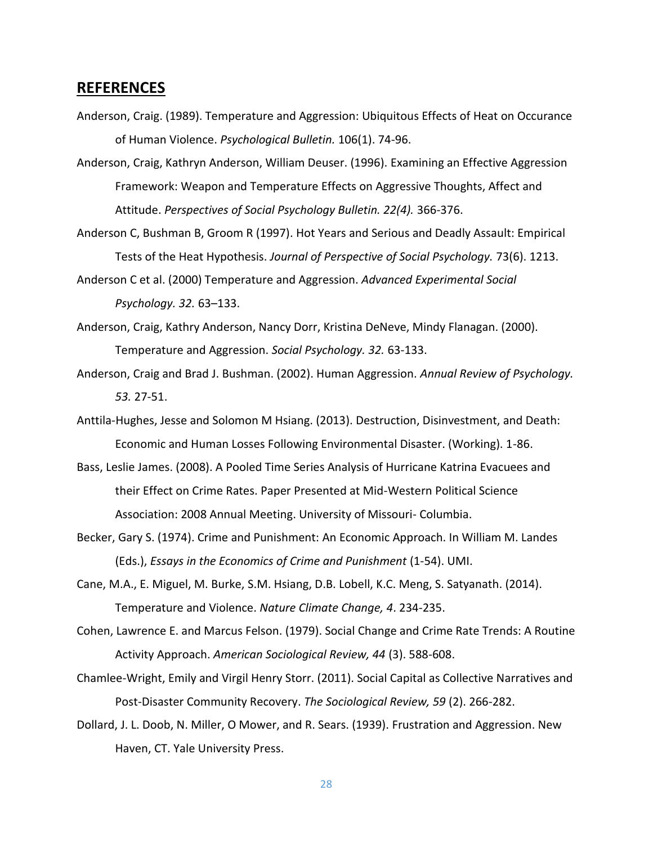# **REFERENCES**

- Anderson, Craig. (1989). Temperature and Aggression: Ubiquitous Effects of Heat on Occurance of Human Violence. *Psychological Bulletin.* 106(1). 74-96.
- Anderson, Craig, Kathryn Anderson, William Deuser. (1996). Examining an Effective Aggression Framework: Weapon and Temperature Effects on Aggressive Thoughts, Affect and Attitude. *Perspectives of Social Psychology Bulletin. 22(4).* 366-376.
- Anderson C, Bushman B, Groom R (1997). Hot Years and Serious and Deadly Assault: Empirical Tests of the Heat Hypothesis. *Journal of Perspective of Social Psychology.* 73(6). 1213.
- Anderson C et al. (2000) Temperature and Aggression. *Advanced Experimental Social Psychology. 32.* 63–133.
- Anderson, Craig, Kathry Anderson, Nancy Dorr, Kristina DeNeve, Mindy Flanagan. (2000). Temperature and Aggression. *Social Psychology. 32.* 63-133.
- Anderson, Craig and Brad J. Bushman. (2002). Human Aggression. *Annual Review of Psychology. 53.* 27-51.
- Anttila-Hughes, Jesse and Solomon M Hsiang. (2013). Destruction, Disinvestment, and Death: Economic and Human Losses Following Environmental Disaster. (Working). 1-86.
- Bass, Leslie James. (2008). A Pooled Time Series Analysis of Hurricane Katrina Evacuees and their Effect on Crime Rates. Paper Presented at Mid-Western Political Science Association: 2008 Annual Meeting. University of Missouri- Columbia.
- Becker, Gary S. (1974). Crime and Punishment: An Economic Approach. In William M. Landes (Eds.), *Essays in the Economics of Crime and Punishment* (1-54). UMI.
- Cane, M.A., E. Miguel, M. Burke, S.M. Hsiang, D.B. Lobell, K.C. Meng, S. Satyanath. (2014). Temperature and Violence. *Nature Climate Change, 4*. 234-235.
- Cohen, Lawrence E. and Marcus Felson. (1979). Social Change and Crime Rate Trends: A Routine Activity Approach. *American Sociological Review, 44* (3). 588-608.
- Chamlee-Wright, Emily and Virgil Henry Storr. (2011). Social Capital as Collective Narratives and Post-Disaster Community Recovery. *The Sociological Review, 59* (2). 266-282.
- Dollard, J. L. Doob, N. Miller, O Mower, and R. Sears. (1939). Frustration and Aggression. New Haven, CT. Yale University Press.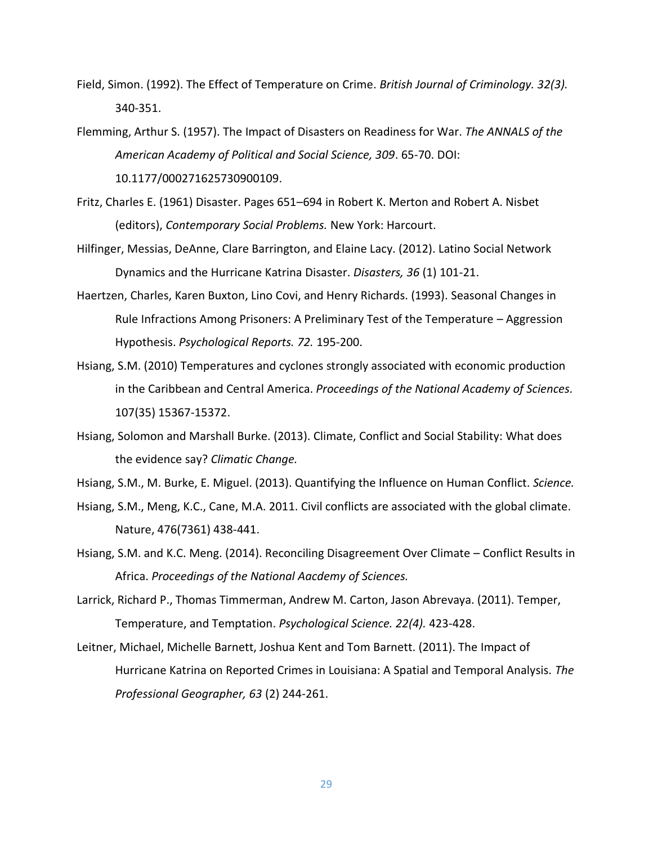- Field, Simon. (1992). The Effect of Temperature on Crime. *British Journal of Criminology. 32(3).*  340-351.
- Flemming, Arthur S. (1957). The Impact of Disasters on Readiness for War. *The ANNALS of the American Academy of Political and Social Science, 309*. 65-70. DOI: 10.1177/000271625730900109.
- Fritz, Charles E. (1961) Disaster. Pages 651–694 in Robert K. Merton and Robert A. Nisbet (editors), *Contemporary Social Problems.* New York: Harcourt.
- Hilfinger, Messias, DeAnne, Clare Barrington, and Elaine Lacy. (2012). Latino Social Network Dynamics and the Hurricane Katrina Disaster. *Disasters, 36* (1) 101-21.
- Haertzen, Charles, Karen Buxton, Lino Covi, and Henry Richards. (1993). Seasonal Changes in Rule Infractions Among Prisoners: A Preliminary Test of the Temperature – Aggression Hypothesis. *Psychological Reports. 72.* 195-200.
- Hsiang, S.M. (2010) Temperatures and cyclones strongly associated with economic production in the Caribbean and Central America. *Proceedings of the National Academy of Sciences.* 107(35) 15367-15372.
- Hsiang, Solomon and Marshall Burke. (2013). Climate, Conflict and Social Stability: What does the evidence say? *Climatic Change.*
- Hsiang, S.M., M. Burke, E. Miguel. (2013). Quantifying the Influence on Human Conflict. *Science.*
- Hsiang, S.M., Meng, K.C., Cane, M.A. 2011. Civil conflicts are associated with the global climate. Nature, 476(7361) 438-441.
- Hsiang, S.M. and K.C. Meng. (2014). Reconciling Disagreement Over Climate Conflict Results in Africa. *Proceedings of the National Aacdemy of Sciences.*
- Larrick, Richard P., Thomas Timmerman, Andrew M. Carton, Jason Abrevaya. (2011). Temper, Temperature, and Temptation. *Psychological Science. 22(4).* 423-428.
- Leitner, Michael, Michelle Barnett, Joshua Kent and Tom Barnett. (2011). The Impact of Hurricane Katrina on Reported Crimes in Louisiana: A Spatial and Temporal Analysis. *The Professional Geographer, 63* (2) 244-261.